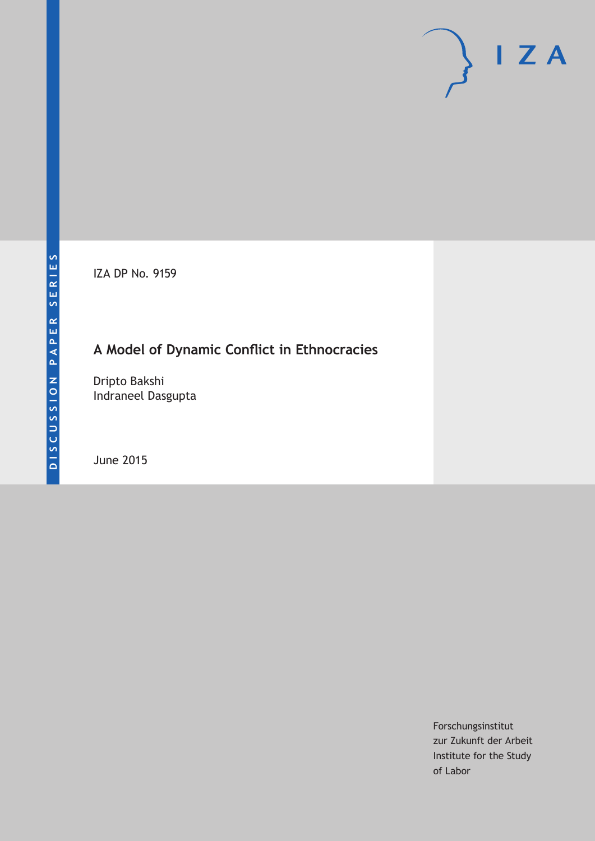IZA DP No. 9159

# **A Model of Dynamic Conflict in Ethnocracies**

Dripto Bakshi Indraneel Dasgupta

June 2015

Forschungsinstitut zur Zukunft der Arbeit Institute for the Study of Labor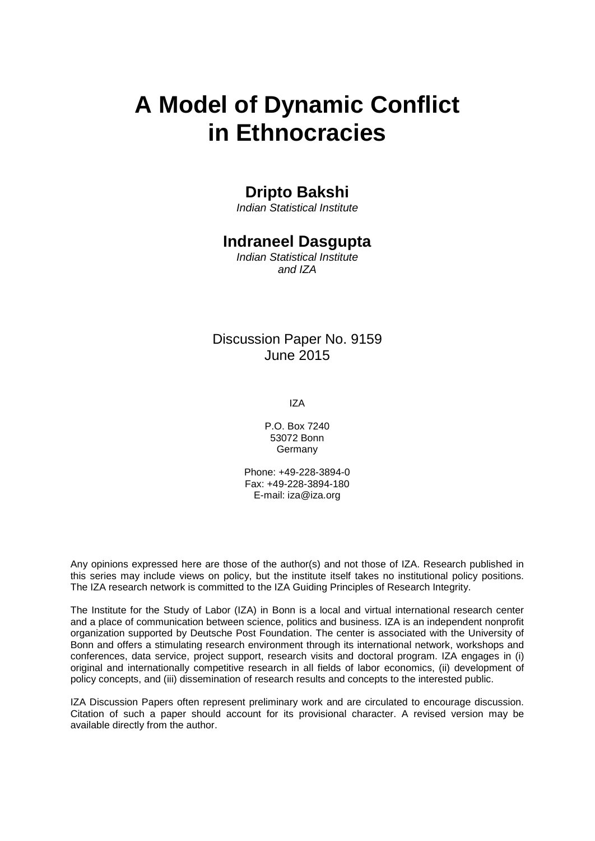# **A Model of Dynamic Conflict in Ethnocracies**

## **Dripto Bakshi**

*Indian Statistical Institute*

### **Indraneel Dasgupta**

*Indian Statistical Institute and IZA*

### Discussion Paper No. 9159 June 2015

IZA

P.O. Box 7240 53072 Bonn **Germany** 

Phone: +49-228-3894-0 Fax: +49-228-3894-180 E-mail: iza@iza.org

Any opinions expressed here are those of the author(s) and not those of IZA. Research published in this series may include views on policy, but the institute itself takes no institutional policy positions. The IZA research network is committed to the IZA Guiding Principles of Research Integrity.

The Institute for the Study of Labor (IZA) in Bonn is a local and virtual international research center and a place of communication between science, politics and business. IZA is an independent nonprofit organization supported by Deutsche Post Foundation. The center is associated with the University of Bonn and offers a stimulating research environment through its international network, workshops and conferences, data service, project support, research visits and doctoral program. IZA engages in (i) original and internationally competitive research in all fields of labor economics, (ii) development of policy concepts, and (iii) dissemination of research results and concepts to the interested public.

<span id="page-1-0"></span>IZA Discussion Papers often represent preliminary work and are circulated to encourage discussion. Citation of such a paper should account for its provisional character. A revised version may be available directly from the author.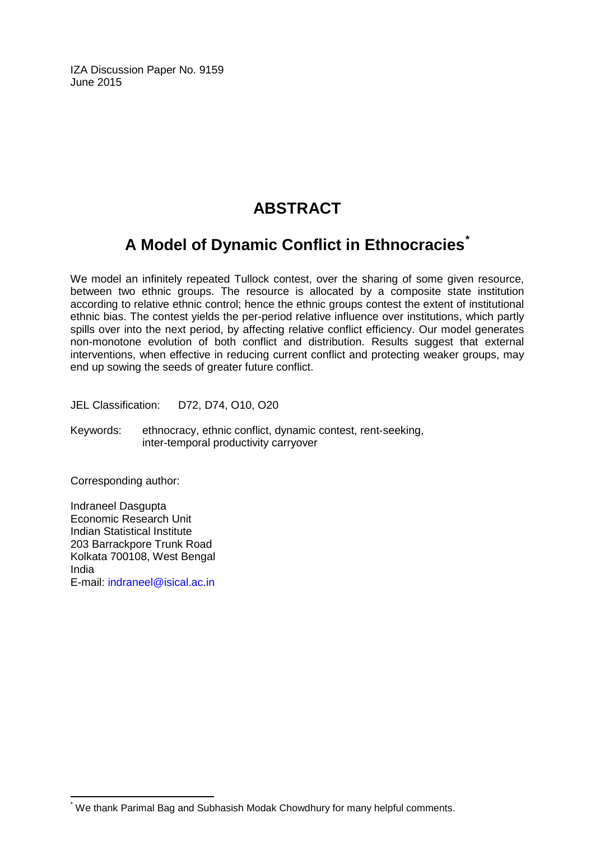IZA Discussion Paper No. 9159 June 2015

# **ABSTRACT**

# **A Model of Dynamic Conflict in Ethnocracies[\\*](#page-1-0)**

We model an infinitely repeated Tullock contest, over the sharing of some given resource, between two ethnic groups. The resource is allocated by a composite state institution according to relative ethnic control; hence the ethnic groups contest the extent of institutional ethnic bias. The contest yields the per-period relative influence over institutions, which partly spills over into the next period, by affecting relative conflict efficiency. Our model generates non-monotone evolution of both conflict and distribution. Results suggest that external interventions, when effective in reducing current conflict and protecting weaker groups, may end up sowing the seeds of greater future conflict.

JEL Classification: D72, D74, O10, O20

Keywords: ethnocracy, ethnic conflict, dynamic contest, rent-seeking, inter-temporal productivity carryover

Corresponding author:

Indraneel Dasgupta Economic Research Unit Indian Statistical Institute 203 Barrackpore Trunk Road Kolkata 700108, West Bengal India E-mail: [indraneel@isical.ac.in](mailto:indraneel@isical.ac.in)

\* We thank Parimal Bag and Subhasish Modak Chowdhury for many helpful comments.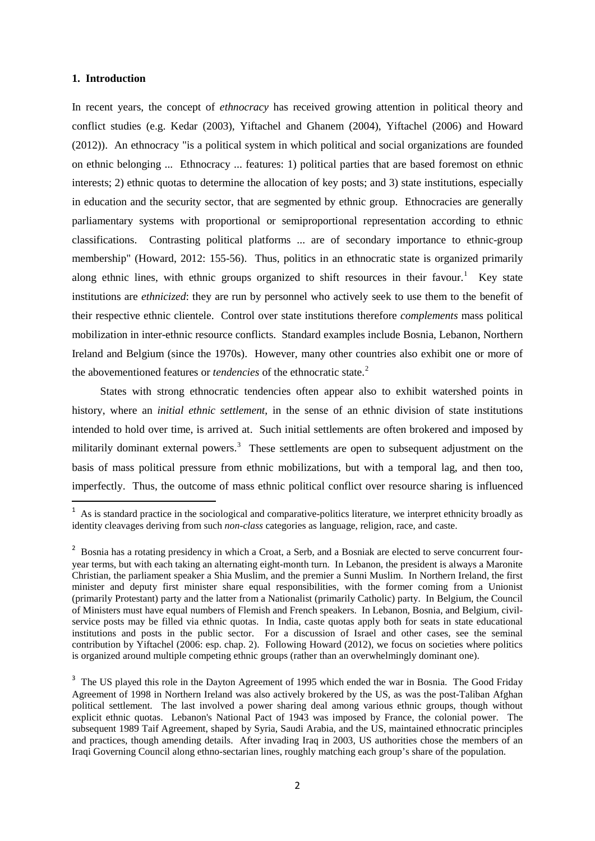#### **1. Introduction**

In recent years, the concept of *ethnocracy* has received growing attention in political theory and conflict studies (e.g. Kedar (2003), [Yiftachel](http://www.sciencedirect.com/science/article/pii/S0962629804000423) and Ghanem (2004), Yiftachel (2006) and Howard (2012)). An ethnocracy "is a political system in which political and social organizations are founded on ethnic belonging ... Ethnocracy ... features: 1) political parties that are based foremost on ethnic interests; 2) ethnic quotas to determine the allocation of key posts; and 3) state institutions, especially in education and the security sector, that are segmented by ethnic group. Ethnocracies are generally parliamentary systems with proportional or semiproportional representation according to ethnic classifications. Contrasting political platforms ... are of secondary importance to ethnic-group membership" (Howard, 2012: 155-56). Thus, politics in an ethnocratic state is organized primarily along ethnic lines, with ethnic groups organized to shift resources in their favour.<sup>1</sup> Key state institutions are *ethnicized*: they are run by personnel who actively seek to use them to the benefit of their respective ethnic clientele. Control over state institutions therefore *complements* mass political mobilization in inter-ethnic resource conflicts. Standard examples include Bosnia, Lebanon, Northern Ireland and Belgium (since the 1970s). However, many other countries also exhibit one or more of the abovementioned features or *tendencies* of the ethnocratic state.<sup>[2](#page-3-0)</sup>

States with strong ethnocratic tendencies often appear also to exhibit watershed points in history, where an *initial ethnic settlement*, in the sense of an ethnic division of state institutions intended to hold over time, is arrived at. Such initial settlements are often brokered and imposed by militarily dominant external powers.<sup>[3](#page-3-1)</sup> These settlements are open to subsequent adjustment on the basis of mass political pressure from ethnic mobilizations, but with a temporal lag, and then too, imperfectly. Thus, the outcome of mass ethnic political conflict over resource sharing is influenced

 $\frac{1}{1}$  $\frac{1}{1}$  As is standard practice in the sociological and comparative-politics literature, we interpret ethnicity broadly as identity cleavages deriving from such *non-class* categories as language, religion, race, and caste.

<span id="page-3-0"></span><sup>&</sup>lt;sup>2</sup> Bosnia has a rotating presidency in which a Croat, a Serb, and a Bosniak are elected to serve concurrent fouryear terms, but with each taking an alternating eight-month turn. In Lebanon, the president is always a Maronite Christian, the parliament speaker a Shia Muslim, and the premier a Sunni Muslim. In Northern Ireland, the first minister and deputy first minister share equal responsibilities, with the former coming from a Unionist (primarily Protestant) party and the latter from a Nationalist (primarily Catholic) party. In Belgium, the Council of Ministers must have equal numbers of Flemish and French speakers. In Lebanon, Bosnia, and Belgium, civilservice posts may be filled via ethnic quotas. In India, caste quotas apply both for seats in state educational institutions and posts in the public sector. For a discussion of Israel and other cases, see the seminal contribution by Yiftachel (2006: esp. chap. 2). Following Howard (2012), we focus on societies where politics is organized around multiple competing ethnic groups (rather than an overwhelmingly dominant one).

<span id="page-3-2"></span><span id="page-3-1"></span><sup>&</sup>lt;sup>3</sup> The US played this role in the Dayton Agreement of 1995 which ended the war in Bosnia. The Good Friday Agreement of 1998 in Northern Ireland was also actively brokered by the US, as was the post-Taliban Afghan political settlement. The last involved a power sharing deal among various ethnic groups, though without explicit ethnic quotas. Lebanon's National Pact of 1943 was imposed by France, the colonial power. The subsequent 1989 Taif Agreement, shaped by Syria, Saudi Arabia, and the US, maintained ethnocratic principles and practices, though amending details. After invading Iraq in 2003, US authorities chose the members of an Iraqi Governing Council along ethno-sectarian lines, roughly matching each group's share of the population.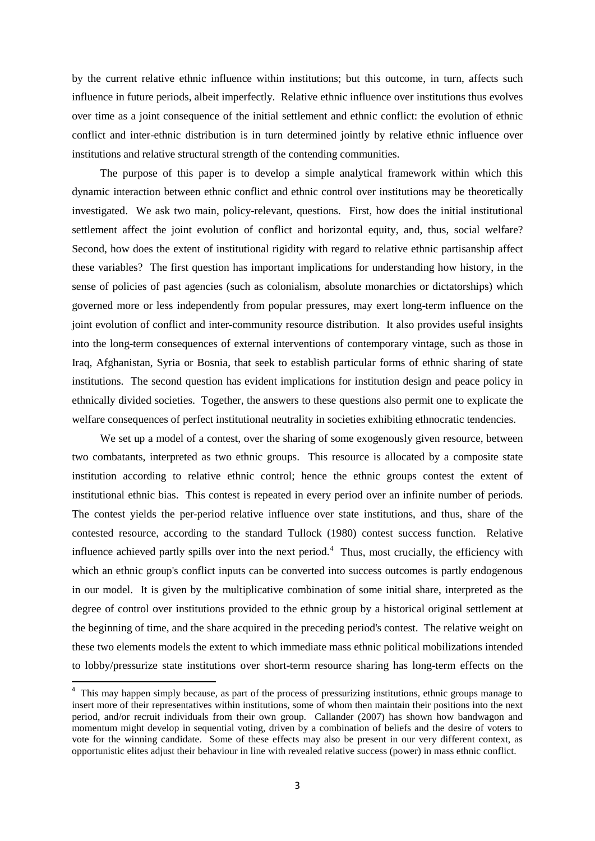by the current relative ethnic influence within institutions; but this outcome, in turn, affects such influence in future periods, albeit imperfectly. Relative ethnic influence over institutions thus evolves over time as a joint consequence of the initial settlement and ethnic conflict: the evolution of ethnic conflict and inter-ethnic distribution is in turn determined jointly by relative ethnic influence over institutions and relative structural strength of the contending communities.

The purpose of this paper is to develop a simple analytical framework within which this dynamic interaction between ethnic conflict and ethnic control over institutions may be theoretically investigated. We ask two main, policy-relevant, questions. First, how does the initial institutional settlement affect the joint evolution of conflict and horizontal equity, and, thus, social welfare? Second, how does the extent of institutional rigidity with regard to relative ethnic partisanship affect these variables? The first question has important implications for understanding how history, in the sense of policies of past agencies (such as colonialism, absolute monarchies or dictatorships) which governed more or less independently from popular pressures, may exert long-term influence on the joint evolution of conflict and inter-community resource distribution. It also provides useful insights into the long-term consequences of external interventions of contemporary vintage, such as those in Iraq, Afghanistan, Syria or Bosnia, that seek to establish particular forms of ethnic sharing of state institutions. The second question has evident implications for institution design and peace policy in ethnically divided societies. Together, the answers to these questions also permit one to explicate the welfare consequences of perfect institutional neutrality in societies exhibiting ethnocratic tendencies.

We set up a model of a contest, over the sharing of some exogenously given resource, between two combatants, interpreted as two ethnic groups. This resource is allocated by a composite state institution according to relative ethnic control; hence the ethnic groups contest the extent of institutional ethnic bias. This contest is repeated in every period over an infinite number of periods. The contest yields the per-period relative influence over state institutions, and thus, share of the contested resource, according to the standard Tullock (1980) contest success function. Relative influence achieved partly spills over into the next period.<sup>[4](#page-3-2)</sup> Thus, most crucially, the efficiency with which an ethnic group's conflict inputs can be converted into success outcomes is partly endogenous in our model. It is given by the multiplicative combination of some initial share, interpreted as the degree of control over institutions provided to the ethnic group by a historical original settlement at the beginning of time, and the share acquired in the preceding period's contest. The relative weight on these two elements models the extent to which immediate mass ethnic political mobilizations intended to lobby/pressurize state institutions over short-term resource sharing has long-term effects on the

<span id="page-4-0"></span> $\frac{1}{4}$ <sup>4</sup> This may happen simply because, as part of the process of pressurizing institutions, ethnic groups manage to insert more of their representatives within institutions, some of whom then maintain their positions into the next period, and/or recruit individuals from their own group. Callander (2007) has shown how bandwagon and momentum might develop in sequential voting, driven by a combination of beliefs and the desire of voters to vote for the winning candidate. Some of these effects may also be present in our very different context, as opportunistic elites adjust their behaviour in line with revealed relative success (power) in mass ethnic conflict.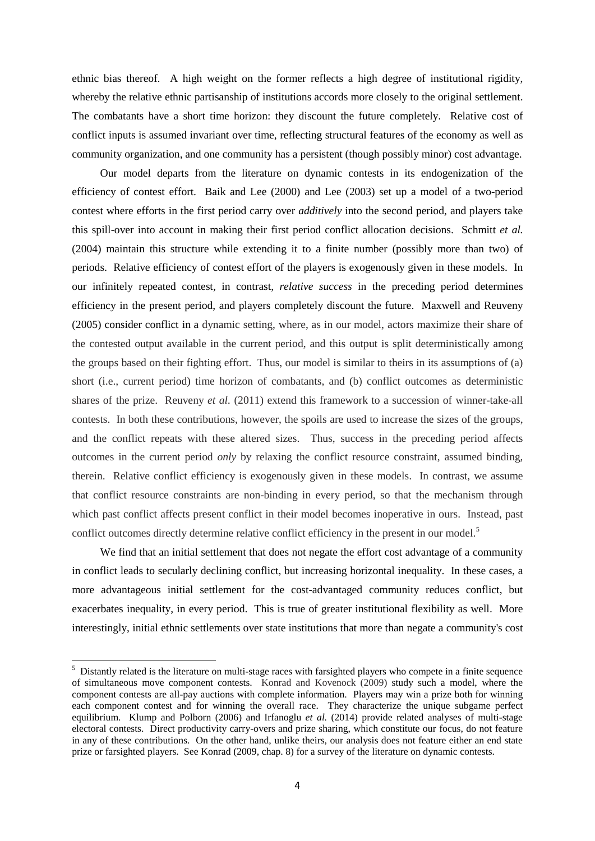ethnic bias thereof. A high weight on the former reflects a high degree of institutional rigidity, whereby the relative ethnic partisanship of institutions accords more closely to the original settlement. The combatants have a short time horizon: they discount the future completely. Relative cost of conflict inputs is assumed invariant over time, reflecting structural features of the economy as well as community organization, and one community has a persistent (though possibly minor) cost advantage.

Our model departs from the literature on dynamic contests in its endogenization of the efficiency of contest effort. Baik and Lee (2000) and Lee (2003) set up a model of a two-period contest where efforts in the first period carry over *additively* into the second period, and players take this spill-over into account in making their first period conflict allocation decisions. Schmitt *et al.* (2004) maintain this structure while extending it to a finite number (possibly more than two) of periods. Relative efficiency of contest effort of the players is exogenously given in these models. In our infinitely repeated contest, in contrast, *relative success* in the preceding period determines efficiency in the present period, and players completely discount the future. Maxwell and Reuveny (2005) consider conflict in a dynamic setting, where, as in our model, actors maximize their share of the contested output available in the current period, and this output is split deterministically among the groups based on their fighting effort. Thus, our model is similar to theirs in its assumptions of (a) short (i.e., current period) time horizon of combatants, and (b) conflict outcomes as deterministic shares of the prize. Reuveny *et al.* (2011) extend this framework to a succession of winner-take-all contests. In both these contributions, however, the spoils are used to increase the sizes of the groups, and the conflict repeats with these altered sizes. Thus, success in the preceding period affects outcomes in the current period *only* by relaxing the conflict resource constraint, assumed binding, therein. Relative conflict efficiency is exogenously given in these models. In contrast, we assume that conflict resource constraints are non-binding in every period, so that the mechanism through which past conflict affects present conflict in their model becomes inoperative in ours. Instead, past conflict outcomes directly determine relative conflict efficiency in the present in our model.<sup>[5](#page-4-0)</sup>

We find that an initial settlement that does not negate the effort cost advantage of a community in conflict leads to secularly declining conflict, but increasing horizontal inequality. In these cases, a more advantageous initial settlement for the cost-advantaged community reduces conflict, but exacerbates inequality, in every period. This is true of greater institutional flexibility as well. More interestingly, initial ethnic settlements over state institutions that more than negate a community's cost

<span id="page-5-0"></span> $\frac{1}{5}$  $<sup>5</sup>$  Distantly related is the literature on multi-stage races with farsighted players who compete in a finite sequence</sup> of simultaneous move component contests. Konrad and Kovenock (2009) study such a model, where the component contests are all-pay auctions with complete information. Players may win a prize both for winning each component contest and for winning the overall race. They characterize the unique subgame perfect equilibrium. Klump and Polborn (2006) and Irfanoglu *et al.* (2014) provide related analyses of multi-stage electoral contests. Direct productivity carry-overs and prize sharing, which constitute our focus, do not feature in any of these contributions. On the other hand, unlike theirs, our analysis does not feature either an end state prize or farsighted players. See Konrad (2009, chap. 8) for a survey of the literature on dynamic contests.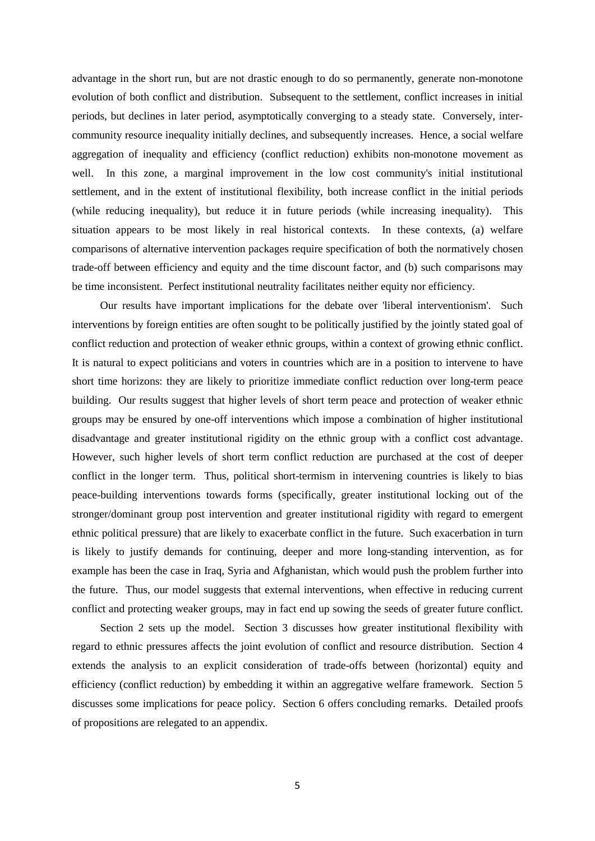advantage in the short run, but are not drastic enough to do so permanently, generate non-monotone evolution of both conflict and distribution. Subsequent to the settlement, conflict increases in initial periods, but declines in later period, asymptotically converging to a steady state. Conversely, intercommunity resource inequality initially declines, and subsequently increases. Hence, a social welfare aggregation of inequality and efficiency (conflict reduction) exhibits non-monotone movement as well. In this zone, a marginal improvement in the low cost community's initial institutional settlement, and in the extent of institutional flexibility, both increase conflict in the initial periods (while reducing inequality), but reduce it in future periods (while increasing inequality). This situation appears to be most likely in real historical contexts. In these contexts, (a) welfare comparisons of alternative intervention packages require specification of both the normatively chosen trade-off between efficiency and equity and the time discount factor, and (b) such comparisons may be time inconsistent. Perfect institutional neutrality facilitates neither equity nor efficiency.

Our results have important implications for the debate over 'liberal interventionism'. Such interventions by foreign entities are often sought to be politically justified by the jointly stated goal of conflict reduction and protection of weaker ethnic groups, within a context of growing ethnic conflict. It is natural to expect politicians and voters in countries which are in a position to intervene to have short time horizons: they are likely to prioritize immediate conflict reduction over long-term peace building. Our results suggest that higher levels of short term peace and protection of weaker ethnic groups may be ensured by one-off interventions which impose a combination of higher institutional disadvantage and greater institutional rigidity on the ethnic group with a conflict cost advantage. However, such higher levels of short term conflict reduction are purchased at the cost of deeper conflict in the longer term. Thus, political short-termism in intervening countries is likely to bias peace-building interventions towards forms (specifically, greater institutional locking out of the stronger/dominant group post intervention and greater institutional rigidity with regard to emergent ethnic political pressure) that are likely to exacerbate conflict in the future. Such exacerbation in turn is likely to justify demands for continuing, deeper and more long-standing intervention, as for example has been the case in Iraq, Syria and Afghanistan, which would push the problem further into the future. Thus, our model suggests that external interventions, when effective in reducing current conflict and protecting weaker groups, may in fact end up sowing the seeds of greater future conflict.

Section 2 sets up the model. Section 3 discusses how greater institutional flexibility with regard to ethnic pressures affects the joint evolution of conflict and resource distribution. Section 4 extends the analysis to an explicit consideration of trade-offs between (horizontal) equity and efficiency (conflict reduction) by embedding it within an aggregative welfare framework. Section 5 discusses some implications for peace policy. Section 6 offers concluding remarks. Detailed proofs of propositions are relegated to an appendix.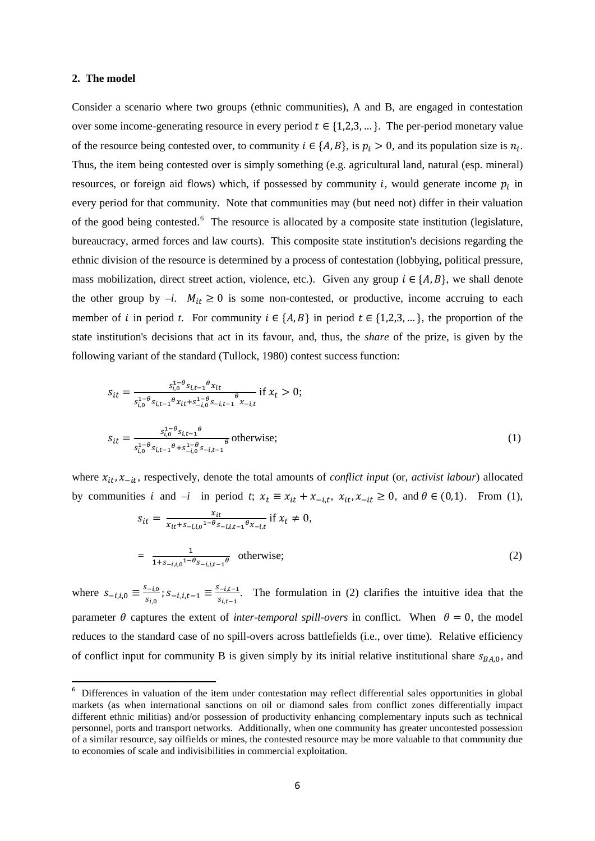#### **2. The model**

Consider a scenario where two groups (ethnic communities), A and B, are engaged in contestation over some income-generating resource in every period  $t \in \{1,2,3,...\}$ . The per-period monetary value of the resource being contested over, to community  $i \in \{A, B\}$ , is  $p_i > 0$ , and its population size is  $n_i$ . Thus, the item being contested over is simply something (e.g. agricultural land, natural (esp. mineral) resources, or foreign aid flows) which, if possessed by community i, would generate income  $p_i$  in every period for that community. Note that communities may (but need not) differ in their valuation of the good being contested.<sup>[6](#page-5-0)</sup> The resource is allocated by a composite state institution (legislature, bureaucracy, armed forces and law courts). This composite state institution's decisions regarding the ethnic division of the resource is determined by a process of contestation (lobbying, political pressure, mass mobilization, direct street action, violence, etc.). Given any group  $i \in \{A, B\}$ , we shall denote the other group by  $-i$ .  $M_{it} \ge 0$  is some non-contested, or productive, income accruing to each member of *i* in period *t*. For community  $i \in \{A, B\}$  in period  $t \in \{1, 2, 3, ...\}$ , the proportion of the state institution's decisions that act in its favour, and, thus, the *share* of the prize, is given by the following variant of the standard (Tullock, 1980) contest success function:

$$
s_{it} = \frac{s_{i,0}^{1-\theta} s_{i,t-1}^{\theta} x_{it}}{s_{i,0}^{1-\theta} s_{i,t-1}^{\theta} x_{it} + s_{-i,0}^{1-\theta} s_{-i,t-1}} \text{ if } x_t > 0;
$$
  

$$
s_{it} = \frac{s_{i,0}^{1-\theta} s_{i,t-1}^{\theta} \theta}{s_{i,0}^{1-\theta} s_{i,t-1}^{\theta} + s_{-i,0}^{1-\theta} s_{-i,t-1}} \text{ otherwise};
$$

$$
(1)
$$

where  $x_{it}$ ,  $x_{-it}$ , respectively, denote the total amounts of *conflict input* (or, *activist labour*) allocated by communities *i* and  $-i$  in period *t*;  $x_t \equiv x_{it} + x_{-i,t}$ ,  $x_{it}$ ,  $x_{-it} \ge 0$ , and  $\theta \in (0,1)$ . From (1),

$$
s_{it} = \frac{x_{it}}{x_{it} + s_{-i,i,0}^{1-\theta} s_{-i,i,t-1}^{\theta} x_{-i,t}} \text{ if } x_t \neq 0,
$$
  
= 
$$
\frac{1}{1 + s_{-i,i,0}^{1-\theta} s_{-i,i,t-1}^{\theta} \text{ otherwise}};
$$
 (2)

<span id="page-7-0"></span>where  $s_{-i,i,0} \equiv \frac{s_{-i,0}}{s_{i,0}}$ ;  $s_{-i,i,t-1} \equiv \frac{s_{-i,t-1}}{s_{i,t-1}}$ . The formulation in (2) clarifies the intuitive idea that the parameter  $\theta$  captures the extent of *inter-temporal spill-overs* in conflict. When  $\theta = 0$ , the model reduces to the standard case of no spill-overs across battlefields (i.e., over time). Relative efficiency of conflict input for community B is given simply by its initial relative institutional share  $S_{BA,0}$ , and

<sup>–&</sup>lt;br>6 <sup>6</sup> Differences in valuation of the item under contestation may reflect differential sales opportunities in global markets (as when international sanctions on oil or diamond sales from conflict zones differentially impact different ethnic militias) and/or possession of productivity enhancing complementary inputs such as technical personnel, ports and transport networks. Additionally, when one community has greater uncontested possession of a similar resource, say oilfields or mines, the contested resource may be more valuable to that community due to economies of scale and indivisibilities in commercial exploitation.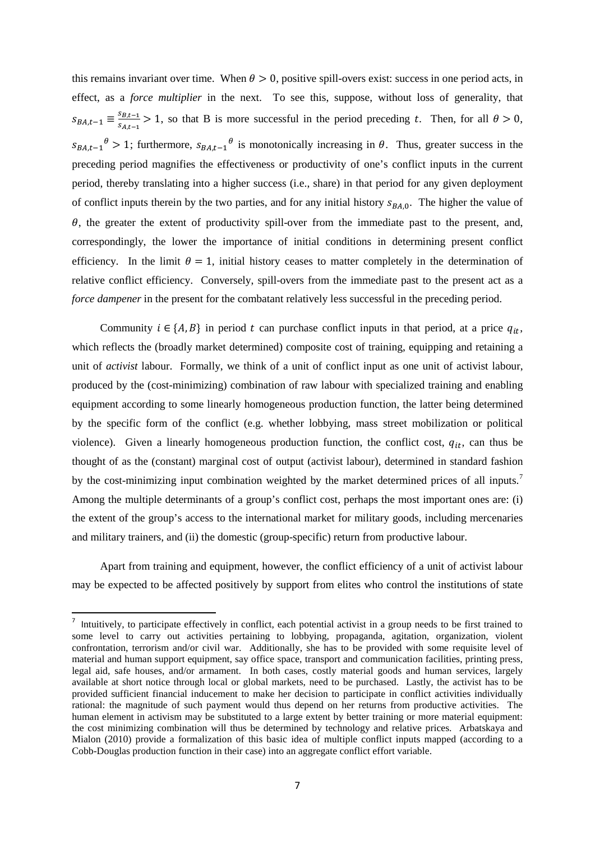this remains invariant over time. When  $\theta > 0$ , positive spill-overs exist: success in one period acts, in effect, as a *force multiplier* in the next. To see this, suppose, without loss of generality, that  $s_{BA,t-1} \equiv \frac{s_{B,t-1}}{s_{A,t-1}} > 1$ , so that B is more successful in the period preceding t. Then, for all  $\theta > 0$ ,  $s_{BA,t-1}$ <sup> $\theta$ </sup> > 1; furthermore,  $s_{BA,t-1}$ <sup> $\theta$ </sup> is monotonically increasing in  $\theta$ . Thus, greater success in the preceding period magnifies the effectiveness or productivity of one's conflict inputs in the current period, thereby translating into a higher success (i.e., share) in that period for any given deployment of conflict inputs therein by the two parties, and for any initial history  $s_{BA,0}$ . The higher the value of  $\theta$ , the greater the extent of productivity spill-over from the immediate past to the present, and, correspondingly, the lower the importance of initial conditions in determining present conflict efficiency. In the limit  $\theta = 1$ , initial history ceases to matter completely in the determination of relative conflict efficiency. Conversely, spill-overs from the immediate past to the present act as a *force dampener* in the present for the combatant relatively less successful in the preceding period.

Community  $i \in \{A, B\}$  in period t can purchase conflict inputs in that period, at a price  $q_{it}$ , which reflects the (broadly market determined) composite cost of training, equipping and retaining a unit of *activist* labour. Formally, we think of a unit of conflict input as one unit of activist labour, produced by the (cost-minimizing) combination of raw labour with specialized training and enabling equipment according to some linearly homogeneous production function, the latter being determined by the specific form of the conflict (e.g. whether lobbying, mass street mobilization or political violence). Given a linearly homogeneous production function, the conflict cost,  $q_{it}$ , can thus be thought of as the (constant) marginal cost of output (activist labour), determined in standard fashion by the cost-minimizing input combination weighted by the market determined prices of all inputs.<sup>[7](#page-7-0)</sup> Among the multiple determinants of a group's conflict cost, perhaps the most important ones are: (i) the extent of the group's access to the international market for military goods, including mercenaries and military trainers, and (ii) the domestic (group-specific) return from productive labour.

Apart from training and equipment, however, the conflict efficiency of a unit of activist labour may be expected to be affected positively by support from elites who control the institutions of state

<span id="page-8-0"></span><sup>-&</sup>lt;br>7  $\frac{7}{10}$  Intuitively, to participate effectively in conflict, each potential activist in a group needs to be first trained to some level to carry out activities pertaining to lobbying, propaganda, agitation, organization, violent confrontation, terrorism and/or civil war. Additionally, she has to be provided with some requisite level of material and human support equipment, say office space, transport and communication facilities, printing press, legal aid, safe houses, and/or armament. In both cases, costly material goods and human services, largely available at short notice through local or global markets, need to be purchased. Lastly, the activist has to be provided sufficient financial inducement to make her decision to participate in conflict activities individually rational: the magnitude of such payment would thus depend on her returns from productive activities. The human element in activism may be substituted to a large extent by better training or more material equipment: the cost minimizing combination will thus be determined by technology and relative prices. Arbatskaya and Mialon (2010) provide a formalization of this basic idea of multiple conflict inputs mapped (according to a Cobb-Douglas production function in their case) into an aggregate conflict effort variable.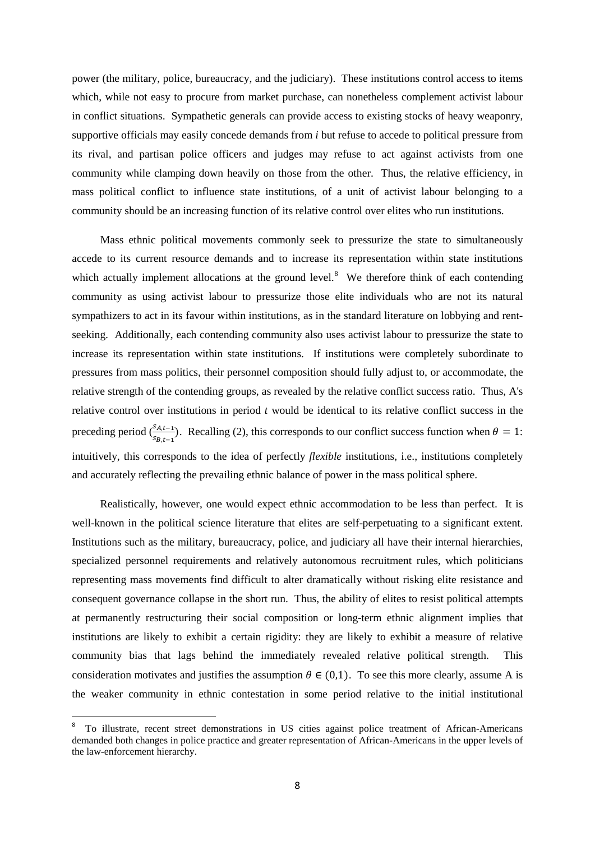power (the military, police, bureaucracy, and the judiciary). These institutions control access to items which, while not easy to procure from market purchase, can nonetheless complement activist labour in conflict situations. Sympathetic generals can provide access to existing stocks of heavy weaponry, supportive officials may easily concede demands from *i* but refuse to accede to political pressure from its rival, and partisan police officers and judges may refuse to act against activists from one community while clamping down heavily on those from the other. Thus, the relative efficiency, in mass political conflict to influence state institutions, of a unit of activist labour belonging to a community should be an increasing function of its relative control over elites who run institutions.

Mass ethnic political movements commonly seek to pressurize the state to simultaneously accede to its current resource demands and to increase its representation within state institutions which actually implement allocations at the ground level.<sup>[8](#page-8-0)</sup> We therefore think of each contending community as using activist labour to pressurize those elite individuals who are not its natural sympathizers to act in its favour within institutions, as in the standard literature on lobbying and rentseeking. Additionally, each contending community also uses activist labour to pressurize the state to increase its representation within state institutions. If institutions were completely subordinate to pressures from mass politics, their personnel composition should fully adjust to, or accommodate, the relative strength of the contending groups, as revealed by the relative conflict success ratio. Thus, A's relative control over institutions in period *t* would be identical to its relative conflict success in the preceding period  $\binom{S_{A,t-1}}{S_{B,t-1}}$ . Recalling (2), this corresponds to our conflict success function when  $\theta = 1$ : intuitively, this corresponds to the idea of perfectly *flexible* institutions, i.e., institutions completely and accurately reflecting the prevailing ethnic balance of power in the mass political sphere.

Realistically, however, one would expect ethnic accommodation to be less than perfect. It is well-known in the political science literature that elites are self-perpetuating to a significant extent. Institutions such as the military, bureaucracy, police, and judiciary all have their internal hierarchies, specialized personnel requirements and relatively autonomous recruitment rules, which politicians representing mass movements find difficult to alter dramatically without risking elite resistance and consequent governance collapse in the short run. Thus, the ability of elites to resist political attempts at permanently restructuring their social composition or long-term ethnic alignment implies that institutions are likely to exhibit a certain rigidity: they are likely to exhibit a measure of relative community bias that lags behind the immediately revealed relative political strength. This consideration motivates and justifies the assumption  $\theta \in (0,1)$ . To see this more clearly, assume A is the weaker community in ethnic contestation in some period relative to the initial institutional

<span id="page-9-0"></span><sup>-&</sup>lt;br>8 To illustrate, recent street demonstrations in US cities against police treatment of African-Americans demanded both changes in police practice and greater representation of African-Americans in the upper levels of the law-enforcement hierarchy.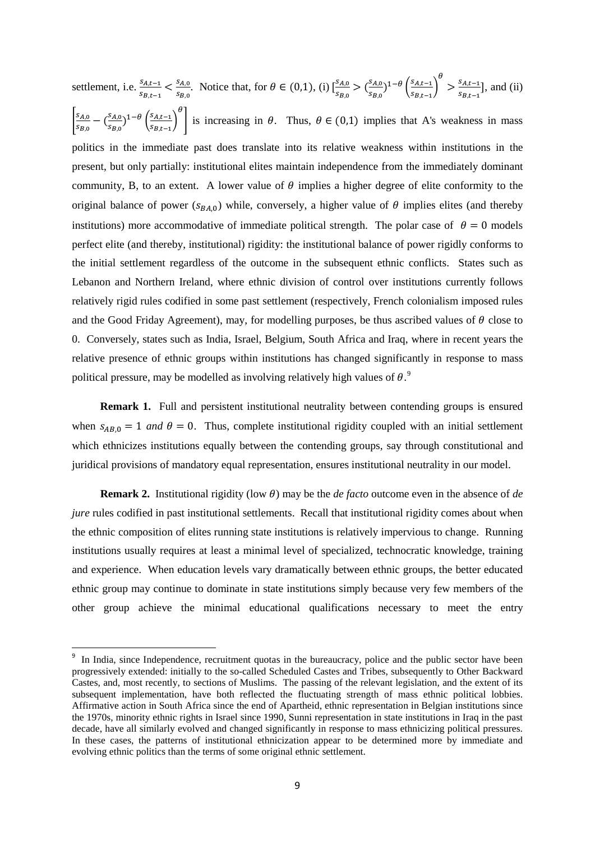settlement, i.e.  $\frac{S_{A,t-1}}{S_{B,t-1}} < \frac{S_{A,0}}{S_{B,0}}$ . Notice that, for  $\theta \in (0,1)$ , (i)  $\left[\frac{S_{A,0}}{S_{B,0}}\right]$  $\frac{S_{A,0}}{S_{B,0}} > (\frac{S_{A,0}}{S_{B,0}})$  $\frac{S_{A,0}}{S_{B,0}}$ <sup>1- $\theta \left( \frac{S_{A,t-1}}{S_{B,t-1}} \right)$ </sup>  $\frac{H_1(t+1)}{S_{B,t-1}}$  $\frac{B}{s_{B,t-1}}$ , and (ii)  $\frac{S_{A,0}}{S_{B,0}}$  $\frac{S_{A,0}}{S_{B,0}} - (\frac{S_{A,0}}{S_{B,0}})$  $\frac{S_{A,0}}{S_{B,0}}$ <sup>1- $\theta \left( \frac{S_{A,t-1}}{S_{B,t-1}} \right)$ </sup>  $\frac{A,t-1}{S_{B,t-1}}$  $\theta$  is increasing in  $\theta$ . Thus,  $\theta \in (0,1)$  implies that A's weakness in mass politics in the immediate past does translate into its relative weakness within institutions in the present, but only partially: institutional elites maintain independence from the immediately dominant community, B, to an extent. A lower value of  $\theta$  implies a higher degree of elite conformity to the original balance of power ( $s_{BA,0}$ ) while, conversely, a higher value of  $\theta$  implies elites (and thereby institutions) more accommodative of immediate political strength. The polar case of  $\theta = 0$  models perfect elite (and thereby, institutional) rigidity: the institutional balance of power rigidly conforms to the initial settlement regardless of the outcome in the subsequent ethnic conflicts. States such as Lebanon and Northern Ireland, where ethnic division of control over institutions currently follows relatively rigid rules codified in some past settlement (respectively, French colonialism imposed rules and the Good Friday Agreement), may, for modelling purposes, be thus ascribed values of  $\theta$  close to 0. Conversely, states such as India, Israel, Belgium, South Africa and Iraq, where in recent years the relative presence of ethnic groups within institutions has changed significantly in response to mass political pressure, may be modelled as involving relatively high values of  $\theta$ .

**Remark 1.** Full and persistent institutional neutrality between contending groups is ensured when  $s_{AB,0} = 1$  *and*  $\theta = 0$ . Thus, complete institutional rigidity coupled with an initial settlement which ethnicizes institutions equally between the contending groups, say through constitutional and juridical provisions of mandatory equal representation, ensures institutional neutrality in our model.

**Remark 2.** Institutional rigidity (low  $\theta$ ) may be the *de facto* outcome even in the absence of *de jure* rules codified in past institutional settlements. Recall that institutional rigidity comes about when the ethnic composition of elites running state institutions is relatively impervious to change. Running institutions usually requires at least a minimal level of specialized, technocratic knowledge, training and experience. When education levels vary dramatically between ethnic groups, the better educated ethnic group may continue to dominate in state institutions simply because very few members of the other group achieve the minimal educational qualifications necessary to meet the entry

<span id="page-10-0"></span><sup>–&</sup>lt;br>9 <sup>9</sup> In India, since Independence, recruitment quotas in the bureaucracy, police and the public sector have been progressively extended: initially to the so-called Scheduled Castes and Tribes, subsequently to Other Backward Castes, and, most recently, to sections of Muslims. The passing of the relevant legislation, and the extent of its subsequent implementation, have both reflected the fluctuating strength of mass ethnic political lobbies. Affirmative action in South Africa since the end of Apartheid, ethnic representation in Belgian institutions since the 1970s, minority ethnic rights in Israel since 1990, Sunni representation in state institutions in Iraq in the past decade, have all similarly evolved and changed significantly in response to mass ethnicizing political pressures. In these cases, the patterns of institutional ethnicization appear to be determined more by immediate and evolving ethnic politics than the terms of some original ethnic settlement.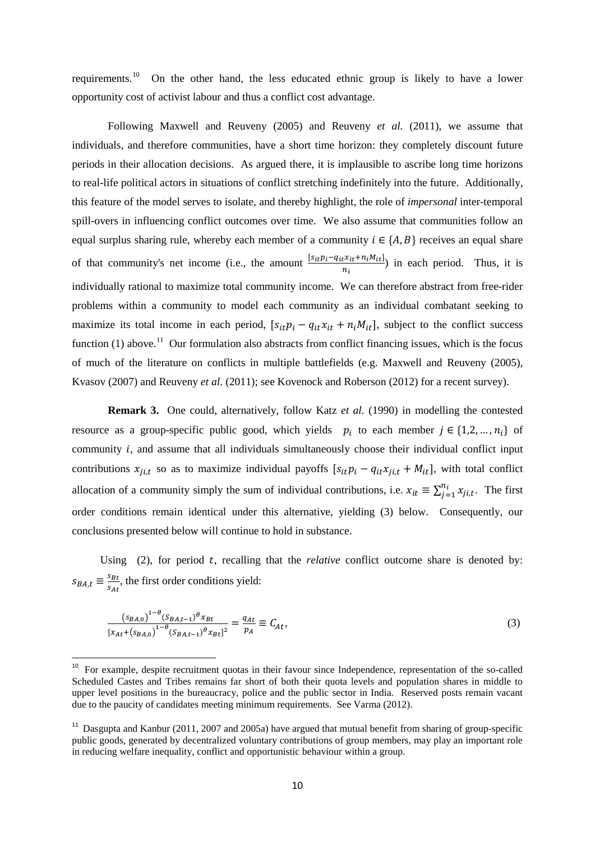requirements.<sup>10</sup> On the other hand, the less educated ethnic group is likely to have a lower opportunity cost of activist labour and thus a conflict cost advantage.

Following Maxwell and Reuveny (2005) and Reuveny *et al.* (2011), we assume that individuals, and therefore communities, have a short time horizon: they completely discount future periods in their allocation decisions. As argued there, it is implausible to ascribe long time horizons to real-life political actors in situations of conflict stretching indefinitely into the future. Additionally, this feature of the model serves to isolate, and thereby highlight, the role of *impersonal* inter-temporal spill-overs in influencing conflict outcomes over time. We also assume that communities follow an equal surplus sharing rule, whereby each member of a community  $i \in \{A, B\}$  receives an equal share of that community's net income (i.e., the amount  $\frac{[s_{it}p_i - q_{it}x_{it} + n_iM_{it}]}{n_i}$ ) in each period. Thus, it is individually rational to maximize total community income. We can therefore abstract from free-rider problems within a community to model each community as an individual combatant seeking to maximize its total income in each period,  $[s_{it}p_i - q_{it}x_{it} + n_iM_{it}]$ , subject to the conflict success function (1) above.<sup>11</sup> Our formulation also abstracts from conflict financing issues, which is the focus of much of the literature on conflicts in multiple battlefields (e.g. Maxwell and Reuveny (2005), Kvasov (2007) and Reuveny *et al.* (2011); see Kovenock and Roberson (2012) for a recent survey).

**Remark 3.** One could, alternatively, follow Katz *et al.* (1990) in modelling the contested resource as a group-specific public good, which yields  $p_i$  to each member  $j \in \{1, 2, ..., n_i\}$  of community  $i$ , and assume that all individuals simultaneously choose their individual conflict input contributions  $x_{ji,t}$  so as to maximize individual payoffs  $[s_{it}p_i - q_{it}x_{ji,t} + M_{it}]$ , with total conflict allocation of a community simply the sum of individual contributions, i.e.  $x_{it} \equiv \sum_{j=1}^{n_i} x_{ji,t}$ . The first order conditions remain identical under this alternative, yielding (3) below. Consequently, our conclusions presented below will continue to hold in substance.

Using  $(2)$ , for period  $t$ , recalling that the *relative* conflict outcome share is denoted by:  $s_{BA,t} \equiv \frac{s_{Bt}}{s_{At}}$ , the first order conditions yield:

$$
\frac{(s_{BA,0})^{1-\theta}(s_{BA,t-1})^{\theta}x_{Bt}}{[x_{At}+(s_{BA,0})^{1-\theta}(s_{BA,t-1})^{\theta}x_{Bt}]^2} = \frac{q_{At}}{p_A} \equiv C_{At},
$$
\n(3)

 <sup>10</sup> For example, despite recruitment quotas in their favour since Independence, representation of the so-called Scheduled Castes and Tribes remains far short of both their quota levels and population shares in middle to upper level positions in the bureaucracy, police and the public sector in India. Reserved posts remain vacant due to the paucity of candidates meeting minimum requirements. See Varma (2012).

<span id="page-11-1"></span><span id="page-11-0"></span><sup>&</sup>lt;sup>11</sup> Dasgupta and Kanbur (2011, 2007 and 2005a) have argued that mutual benefit from sharing of group-specific public goods, generated by decentralized voluntary contributions of group members, may play an important role in reducing welfare inequality, conflict and opportunistic behaviour within a group.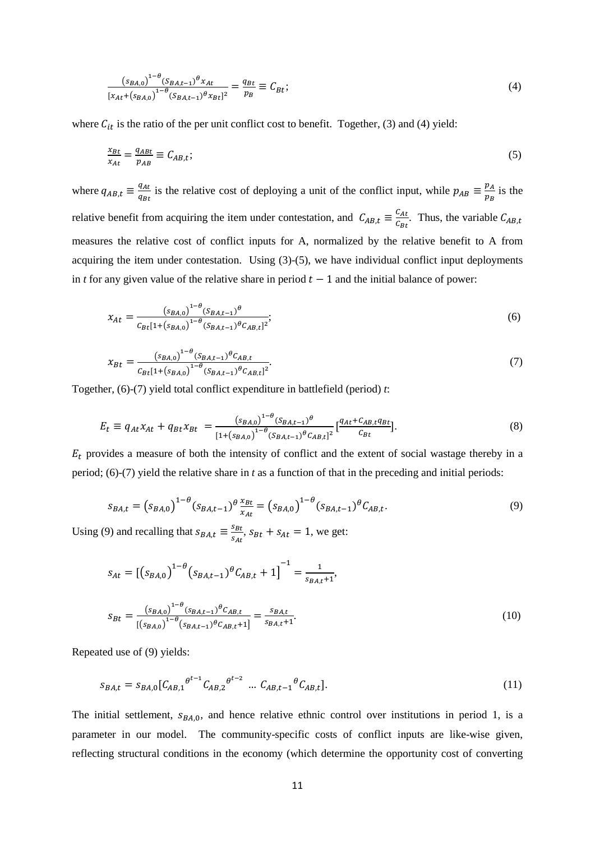$$
\frac{(s_{BA,0})^{1-\theta}(s_{BA,t-1})^{\theta}x_{At}}{[x_{At}+(s_{BA,0})^{1-\theta}(s_{BA,t-1})^{\theta}x_{Bt}]^2} = \frac{q_{Bt}}{p_B} \equiv C_{Bt};
$$
\n(4)

where  $C_{it}$  is the ratio of the per unit conflict cost to benefit. Together, (3) and (4) yield:

$$
\frac{x_{Bt}}{x_{At}} = \frac{q_{ABt}}{p_{AB}} \equiv C_{AB,t};\tag{5}
$$

where  $q_{AB,t} \equiv \frac{q_{At}}{q_{Bt}}$  is the relative cost of deploying a unit of the conflict input, while  $p_{AB} \equiv \frac{p_A}{p_B}$  is the relative benefit from acquiring the item under contestation, and  $C_{AB,t} \equiv \frac{C_{AB}}{C_{BA}}$  $\frac{c_{At}}{c_{Bt}}$ . Thus, the variable  $C_{AB,t}$ measures the relative cost of conflict inputs for A, normalized by the relative benefit to A from acquiring the item under contestation. Using (3)-(5), we have individual conflict input deployments in *t* for any given value of the relative share in period  $t - 1$  and the initial balance of power:

$$
x_{At} = \frac{(s_{BA,0})^{1-\theta} (s_{BA,t-1})^{\theta}}{c_{Bt}[1 + (s_{BA,0})^{1-\theta} (s_{BA,t-1})^{\theta} c_{AB,t}]^2};
$$
\n(6)

$$
x_{Bt} = \frac{(s_{BA,0})^{1-\theta} (s_{BA,t-1})^{\theta} C_{AB,t}}{C_{Bt}[1 + (s_{BA,0})^{1-\theta} (s_{BA,t-1})^{\theta} C_{AB,t}]^2}.
$$
\n
$$
(7)
$$

Together, (6)-(7) yield total conflict expenditure in battlefield (period) *t*:

$$
E_t \equiv q_{At} x_{At} + q_{Bt} x_{Bt} = \frac{(s_{BA,0})^{1-\theta} (s_{BA,t-1})^{\theta}}{[1 + (s_{BA,0})^{1-\theta} (s_{BA,t-1})^{\theta} c_{AB,t}]^2} \left[\frac{q_{At} + c_{AB,t} q_{Bt}}{c_{Bt}}\right].
$$
\n(8)

 $E_t$  provides a measure of both the intensity of conflict and the extent of social wastage thereby in a period; (6)-(7) yield the relative share in *t* as a function of that in the preceding and initial periods:

$$
s_{BA,t} = (s_{BA,0})^{1-\theta} (s_{BA,t-1})^{\theta} \frac{x_{Bt}}{x_{At}} = (s_{BA,0})^{1-\theta} (s_{BA,t-1})^{\theta} C_{AB,t}.
$$
 (9)

Using (9) and recalling that  $s_{BA,t} \equiv \frac{s_{Bt}}{s_{At}}$ ,  $s_{Bt} + s_{At} = 1$ , we get:

$$
s_{At} = \left[ \left( s_{BA,0} \right)^{1-\theta} \left( s_{BA,t-1} \right)^{\theta} C_{AB,t} + 1 \right]^{-1} = \frac{1}{s_{BA,t}+1},
$$
  

$$
s_{Bt} = \frac{\left( s_{BA,0} \right)^{1-\theta} \left( s_{BA,t-1} \right)^{\theta} C_{AB,t}}{\left[ \left( s_{BA,0} \right)^{1-\theta} \left( s_{BA,t-1} \right)^{\theta} C_{AB,t} + 1 \right]} = \frac{s_{BA,t}}{s_{BA,t}+1}.
$$
 (10)

Repeated use of (9) yields:

$$
s_{BA,t} = s_{BA,0} [C_{AB,1}^{\theta^{t-1}} C_{AB,2}^{\theta^{t-2}} \dots C_{AB,t-1}^{\theta^{t-2}} C_{AB,t}].
$$
 (11)

The initial settlement,  $S_{BA,0}$ , and hence relative ethnic control over institutions in period 1, is a parameter in our model. The community-specific costs of conflict inputs are like-wise given, reflecting structural conditions in the economy (which determine the opportunity cost of converting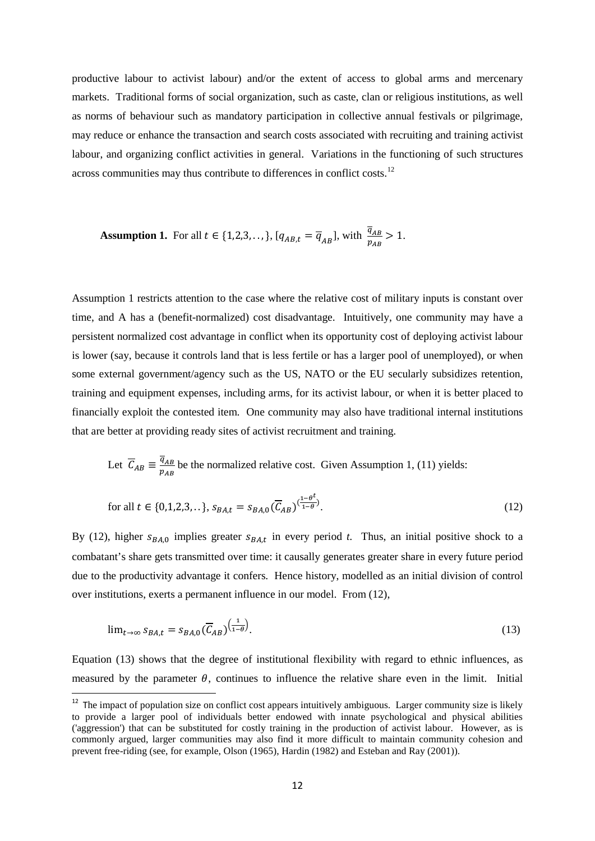productive labour to activist labour) and/or the extent of access to global arms and mercenary markets. Traditional forms of social organization, such as caste, clan or religious institutions, as well as norms of behaviour such as mandatory participation in collective annual festivals or pilgrimage, may reduce or enhance the transaction and search costs associated with recruiting and training activist labour, and organizing conflict activities in general. Variations in the functioning of such structures across communities may thus contribute to differences in conflict costs.<sup>12</sup>

**Assumption 1.** For all 
$$
t \in \{1, 2, 3, \ldots\}
$$
,  $[q_{AB,t} = \overline{q}_{AB}]$ , with  $\frac{\overline{q}_{AB}}{p_{AB}} > 1$ .

Assumption 1 restricts attention to the case where the relative cost of military inputs is constant over time, and A has a (benefit-normalized) cost disadvantage. Intuitively, one community may have a persistent normalized cost advantage in conflict when its opportunity cost of deploying activist labour is lower (say, because it controls land that is less fertile or has a larger pool of unemployed), or when some external government/agency such as the US, NATO or the EU secularly subsidizes retention, training and equipment expenses, including arms, for its activist labour, or when it is better placed to financially exploit the contested item. One community may also have traditional internal institutions that are better at providing ready sites of activist recruitment and training.

Let 
$$
\overline{C}_{AB} \equiv \frac{\overline{q}_{AB}}{p_{AB}}
$$
 be the normalized relative cost. Given Assumption 1, (11) yields:

for all 
$$
t \in \{0,1,2,3,...\}
$$
,  $s_{BA,t} = s_{BA,0}(\overline{C}_{AB})^{(\frac{1-\theta^{t}}{1-\theta})}$ . (12)

By (12), higher  $s_{BA,0}$  implies greater  $s_{BA,t}$  in every period *t*. Thus, an initial positive shock to a combatant's share gets transmitted over time: it causally generates greater share in every future period due to the productivity advantage it confers. Hence history, modelled as an initial division of control over institutions, exerts a permanent influence in our model. From (12),

$$
\lim_{t \to \infty} s_{BA,t} = s_{BA,0} (\overline{C}_{AB})^{\left(\frac{1}{1-\theta}\right)}.
$$
\n(13)

Equation (13) shows that the degree of institutional flexibility with regard to ethnic influences, as measured by the parameter  $\theta$ , continues to influence the relative share even in the limit. Initial

<span id="page-13-0"></span><sup>&</sup>lt;sup>12</sup> The impact of population size on conflict cost appears intuitively ambiguous. Larger community size is likely to provide a larger pool of individuals better endowed with innate psychological and physical abilities ('aggression') that can be substituted for costly training in the production of activist labour. However, as is commonly argued, larger communities may also find it more difficult to maintain community cohesion and prevent free-riding (see, for example, Olson (1965), Hardin (1982) and Esteban and Ray (2001)).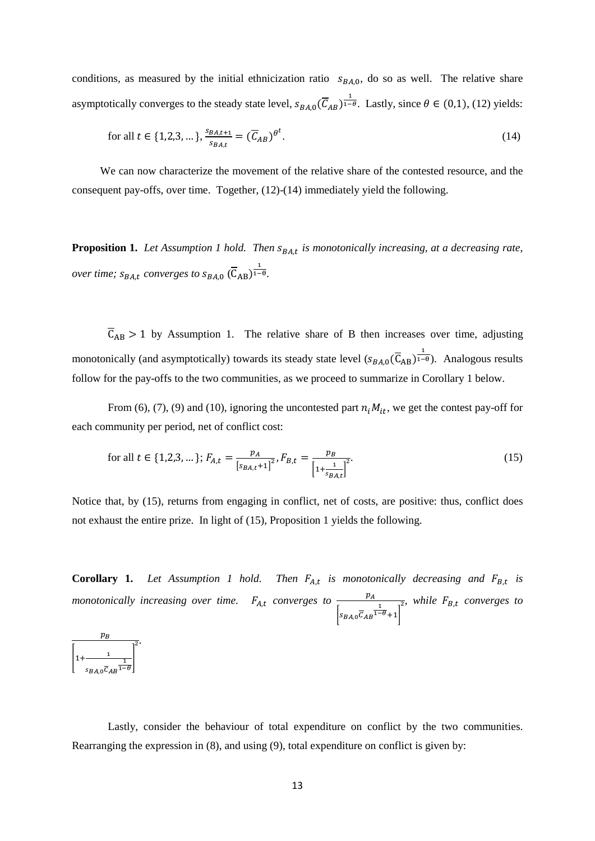conditions, as measured by the initial ethnicization ratio  $s_{BA,0}$ , do so as well. The relative share asymptotically converges to the steady state level,  $s_{BA,0}(\overline{C}_{AB})^{\frac{1}{1-\theta}}$ . Lastly, since  $\theta \in (0,1)$ , (12) yields:

for all 
$$
t \in \{1,2,3,...\}
$$
,  $\frac{s_{BA,t+1}}{s_{BA,t}} = (\overline{C}_{AB})^{\theta^t}$ . (14)

We can now characterize the movement of the relative share of the contested resource, and the consequent pay-offs, over time. Together, (12)-(14) immediately yield the following.

**Proposition 1.** Let Assumption 1 hold. Then  $s_{BA,t}$  is monotonically increasing, at a decreasing rate, *over time;*  $s_{BA,t}$  *converges to*  $s_{BA,0}$   $(\overline{C}_{AB})^{\frac{1}{1-\theta}}$ *.* 

 $\overline{C}_{AB} > 1$  by Assumption 1. The relative share of B then increases over time, adjusting monotonically (and asymptotically) towards its steady state level  $(s_{BA,0}(\overline{C}_{AB})^{\frac{1}{1-\theta}})$ . Analogous results follow for the pay-offs to the two communities, as we proceed to summarize in Corollary 1 below.

From (6), (7), (9) and (10), ignoring the uncontested part  $n_iM_{it}$ , we get the contest pay-off for each community per period, net of conflict cost:

for all 
$$
t \in \{1,2,3,...\}; F_{A,t} = \frac{p_A}{[s_{BA,t}+1]^2}, F_{B,t} = \frac{p_B}{\left[1 + \frac{1}{s_{BA,t}}\right]^2}.
$$
 (15)

Notice that, by (15), returns from engaging in conflict, net of costs, are positive: thus, conflict does not exhaust the entire prize. In light of (15), Proposition 1 yields the following.

**Corollary 1.** Let Assumption 1 hold. Then  $F_{A,t}$  is monotonically decreasing and  $F_{B,t}$  is *monotonically increasing over time.*  $F_{A,t}$  *converges to*  $\frac{p_A}{p_A}$  $S_{BA,0}C_{AB}$  $\frac{1}{1-\theta+1}$  $\frac{1}{2}$ *, while*  $F_{B,t}$  *converges to* 



Lastly, consider the behaviour of total expenditure on conflict by the two communities. Rearranging the expression in (8), and using (9), total expenditure on conflict is given by: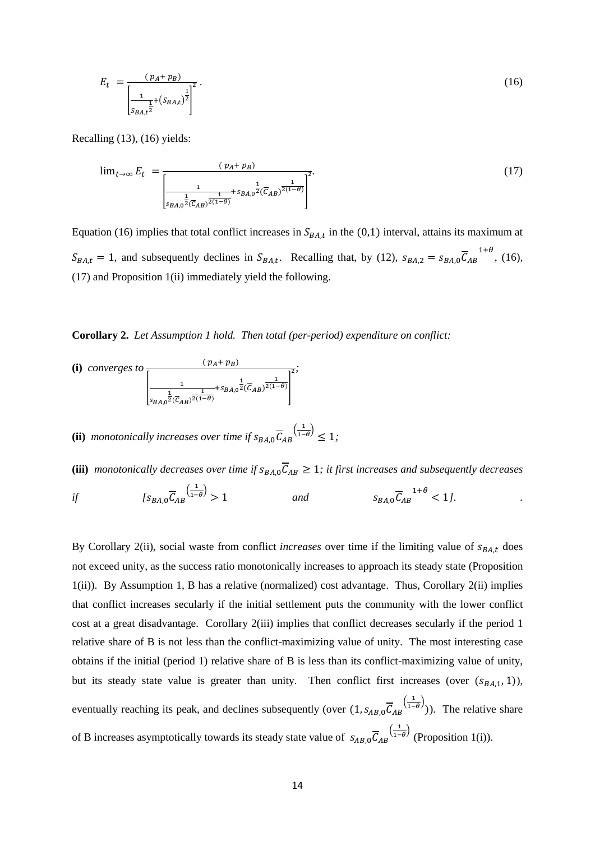$$
E_t = \frac{(p_A + p_B)}{\left[\frac{1}{S_{BA,t}^2} + (S_{BA,t})^2\right]^2}.
$$
\n(16)

Recalling (13), (16) yields:

$$
\lim_{t \to \infty} E_t = \frac{(p_A + p_B)}{\left[\frac{1}{s_{BA,0} \bar{z}(\overline{C}_{AB})^{\frac{1}{2(1-\theta)}}} + s_{BA,0} \bar{z}(\overline{C}_{AB})^{\frac{1}{2(1-\theta)}}\right]^2}.
$$
\n(17)

Equation (16) implies that total conflict increases in  $S_{BA,t}$  in the (0,1) interval, attains its maximum at  $S_{BA,t} = 1$ , and subsequently declines in  $S_{BA,t}$ . Recalling that, by (12),  $S_{BA,2} = S_{BA,0} \overline{C}_{AB}^{1+\theta}$ , (16), (17) and Proposition 1(ii) immediately yield the following.

**Corollary 2.** *Let Assumption 1 hold. Then total (per-period) expenditure on conflict:* 

(i) converges to 
$$
\frac{(p_A + p_B)}{\left[\frac{1}{s_{BA,0}^{\frac{1}{2}}(\overline{C}_{AB})^{\frac{1}{2(1-\theta)}}} + s_{BA,0}^{\frac{1}{2}}(\overline{C}_{AB})^{\frac{1}{2(1-\theta)}}\right]^2};
$$

(ii) *monotonically increases over time if*  $s_{BA,0} \overline{C}_{AB} \left( \frac{1}{1-\theta} \right) \leq 1$ ;

(iii) *monotonically decreases over time if*  $s_{BA,0}$  $\overline{C}_{AB} \geq 1$ ; *it first increases and subsequently decreases* 

if 
$$
\left\{S_{BA,0}\overline{C}_{AB}\right\}_{1-\theta}^{(\frac{1}{1-\theta})} > 1
$$
 and  $S_{BA,0}\overline{C}_{AB}^{1+\theta} < 1$ .

By Corollary 2(ii), social waste from conflict *increases* over time if the limiting value of  $s_{BA,t}$  does not exceed unity, as the success ratio monotonically increases to approach its steady state (Proposition 1(ii)). By Assumption 1, B has a relative (normalized) cost advantage. Thus, Corollary 2(ii) implies that conflict increases secularly if the initial settlement puts the community with the lower conflict cost at a great disadvantage. Corollary 2(iii) implies that conflict decreases secularly if the period 1 relative share of B is not less than the conflict-maximizing value of unity. The most interesting case obtains if the initial (period 1) relative share of B is less than its conflict-maximizing value of unity, but its steady state value is greater than unity. Then conflict first increases (over  $(s_{BA,1}, 1)$ ), eventually reaching its peak, and declines subsequently (over  $(1, s_{AB,0}\overline{C}_{AB}^{(\frac{1}{1-\theta})})$ ). The relative share of B increases asymptotically towards its steady state value of  $s_{AB,0}\overline{C}_{AB}^{\left(\frac{1}{1-\theta}\right)}$  (Proposition 1(i)).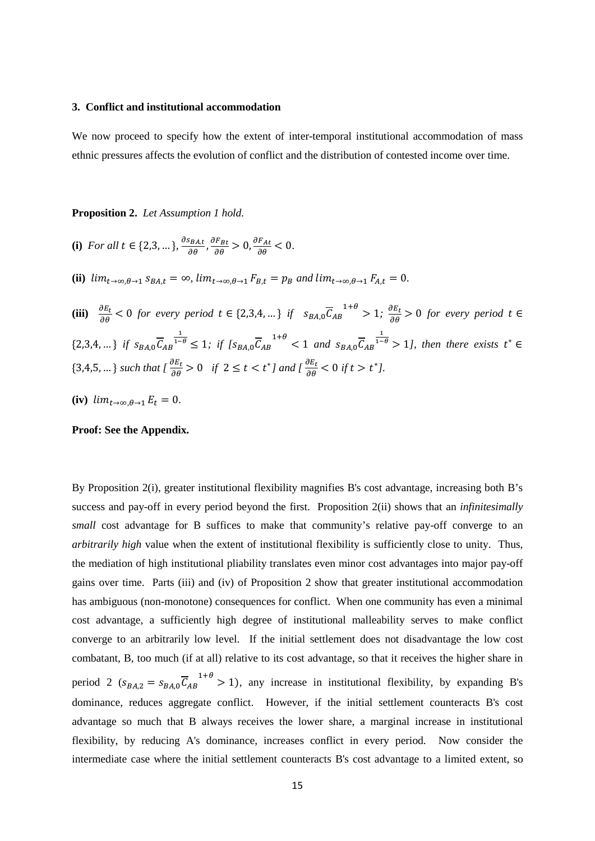#### **3. Conflict and institutional accommodation**

We now proceed to specify how the extent of inter-temporal institutional accommodation of mass ethnic pressures affects the evolution of conflict and the distribution of contested income over time.

#### **Proposition 2.** *Let Assumption 1 hold.*

- (i) For all  $t \in \{2,3,\dots\}$ ,  $\frac{\partial s_{BA,t}}{\partial \theta}, \frac{\partial F_{Bt}}{\partial \theta} > 0$ ,  $\frac{\partial F_{At}}{\partial \theta} < 0$ .
- (ii)  $\lim_{t \to \infty, \theta \to 1} s_{BA,t} = \infty$ ,  $\lim_{t \to \infty, \theta \to 1} F_{B,t} = p_B$  and  $\lim_{t \to \infty, \theta \to 1} F_{A,t} = 0$ .

(iii)  $\frac{\partial E_t}{\partial \theta} < 0$  for every period  $t \in \{2,3,4,...\}$  if  $s_{BA,0} \overline{C}_{AB}^{1+\theta} > 1$ ;  $\frac{\partial E_t}{\partial \theta} > 0$  for every period  $t \in$  $\{2,3,4,...\}$  if  $S_{BA,0}\overline{C}_{AB}^{\frac{1}{1-\theta}} \leq 1$ ; if  $\{S_{BA,0}\overline{C}_{AB}^{\frac{1+\theta}{1-\theta}} < 1$  and  $S_{BA,0}\overline{C}_{AB}^{\frac{1}{1-\theta}} > 1$ , then there exists  $t^* \in$  $\{3,4,5,...\}$  *such that*  $\left[\frac{\partial E_t}{\partial \theta} > 0 \right]$  *if*  $2 \le t < t^*$  *l and*  $\left[\frac{\partial E_t}{\partial \theta} < 0 \right]$  *if*  $t > t^*$  *l*.

 $\lim_{t\to\infty}$  $\lim_{\theta\to 1} E_t = 0$ .

#### **Proof: See the Appendix.**

By Proposition 2(i), greater institutional flexibility magnifies B's cost advantage, increasing both B's success and pay-off in every period beyond the first. Proposition 2(ii) shows that an *infinitesimally small* cost advantage for B suffices to make that community's relative pay-off converge to an *arbitrarily high* value when the extent of institutional flexibility is sufficiently close to unity. Thus, the mediation of high institutional pliability translates even minor cost advantages into major pay-off gains over time. Parts (iii) and (iv) of Proposition 2 show that greater institutional accommodation has ambiguous (non-monotone) consequences for conflict. When one community has even a minimal cost advantage, a sufficiently high degree of institutional malleability serves to make conflict converge to an arbitrarily low level. If the initial settlement does not disadvantage the low cost combatant, B, too much (if at all) relative to its cost advantage, so that it receives the higher share in period 2  $(s_{BA,2} = s_{BA,0} \overline{C}_{AB}^{1+\theta} > 1)$ , any increase in institutional flexibility, by expanding B's dominance, reduces aggregate conflict. However, if the initial settlement counteracts B's cost advantage so much that B always receives the lower share, a marginal increase in institutional flexibility, by reducing A's dominance, increases conflict in every period. Now consider the intermediate case where the initial settlement counteracts B's cost advantage to a limited extent, so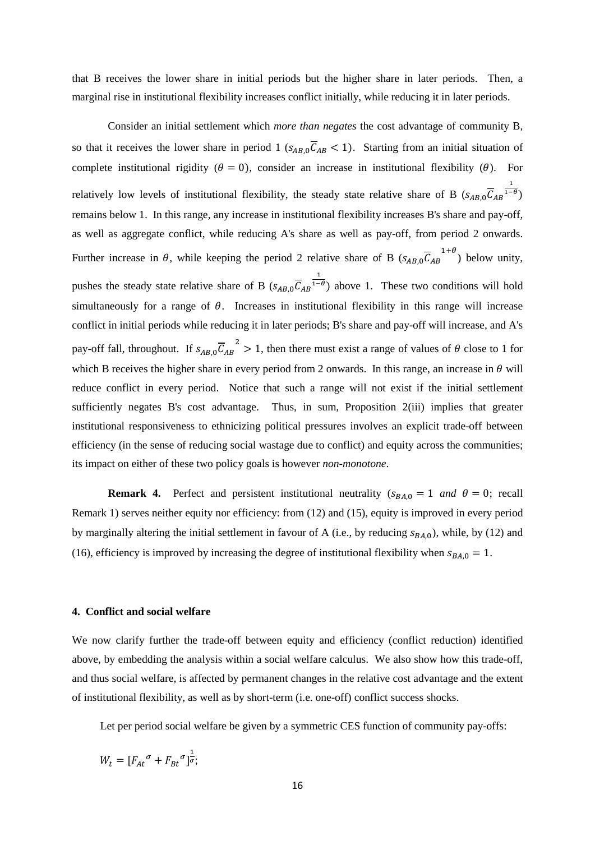that B receives the lower share in initial periods but the higher share in later periods. Then, a marginal rise in institutional flexibility increases conflict initially, while reducing it in later periods.

Consider an initial settlement which *more than negates* the cost advantage of community B, so that it receives the lower share in period 1 ( $s_{AB,0}\overline{C}_{AB}$  < 1). Starting from an initial situation of complete institutional rigidity ( $\theta = 0$ ), consider an increase in institutional flexibility ( $\theta$ ). For relatively low levels of institutional flexibility, the steady state relative share of B  $(s_{AB,0}\overline{C}_{AB})^{-1}$  $1-\theta$ ) remains below 1. In this range, any increase in institutional flexibility increases B's share and pay-off, as well as aggregate conflict, while reducing A's share as well as pay-off, from period 2 onwards. Further increase in  $\theta$ , while keeping the period 2 relative share of B  $(s_{AB,0}\overline{C}_{AB}^{1+\theta})$  below unity, pushes the steady state relative share of B  $(s_{AB,0}\overline{C}_{AB}^{\frac{1}{1-\theta}})$  above 1. These two conditions will hold simultaneously for a range of  $\theta$ . Increases in institutional flexibility in this range will increase conflict in initial periods while reducing it in later periods; B's share and pay-off will increase, and A's pay-off fall, throughout. If  $s_{AB,0}\overline{C}_{AB}^2 > 1$ , then there must exist a range of values of  $\theta$  close to 1 for which B receives the higher share in every period from 2 onwards. In this range, an increase in  $\theta$  will reduce conflict in every period. Notice that such a range will not exist if the initial settlement sufficiently negates B's cost advantage. Thus, in sum, Proposition 2(iii) implies that greater institutional responsiveness to ethnicizing political pressures involves an explicit trade-off between efficiency (in the sense of reducing social wastage due to conflict) and equity across the communities; its impact on either of these two policy goals is however *non-monotone*.

**Remark 4.** Perfect and persistent institutional neutrality ( $S_{BA,0} = 1$  *and*  $\theta = 0$ ; recall Remark 1) serves neither equity nor efficiency: from (12) and (15), equity is improved in every period by marginally altering the initial settlement in favour of A (i.e., by reducing  $s_{BA,0}$ ), while, by (12) and (16), efficiency is improved by increasing the degree of institutional flexibility when  $s_{BA,0} = 1$ .

#### **4. Conflict and social welfare**

We now clarify further the trade-off between equity and efficiency (conflict reduction) identified above, by embedding the analysis within a social welfare calculus. We also show how this trade-off, and thus social welfare, is affected by permanent changes in the relative cost advantage and the extent of institutional flexibility, as well as by short-term (i.e. one-off) conflict success shocks.

Let per period social welfare be given by a symmetric CES function of community pay-offs:

$$
W_t = [F_{At}^{\sigma} + F_{Bt}^{\sigma}]^{\frac{1}{\sigma}};
$$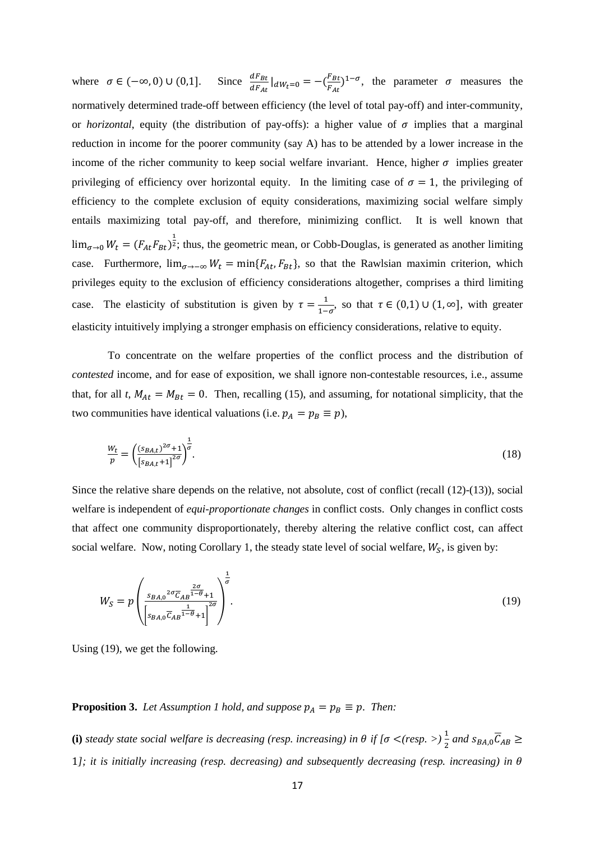where  $\sigma \in (-\infty, 0) \cup (0, 1]$ . Since  $\frac{dF_{Bt}}{dF_{At}}|_{dW_t=0} = -(\frac{F_{Bt}}{F_{At}})$  $\frac{F_{Bt}}{F_{At}}$ <sup>1- $\sigma$ </sup>, the parameter  $\sigma$  measures the normatively determined trade-off between efficiency (the level of total pay-off) and inter-community, or *horizontal*, equity (the distribution of pay-offs): a higher value of  $\sigma$  implies that a marginal reduction in income for the poorer community (say A) has to be attended by a lower increase in the income of the richer community to keep social welfare invariant. Hence, higher  $\sigma$  implies greater privileging of efficiency over horizontal equity. In the limiting case of  $\sigma = 1$ , the privileging of efficiency to the complete exclusion of equity considerations, maximizing social welfare simply entails maximizing total pay-off, and therefore, minimizing conflict. It is well known that  $\lim_{\sigma\to 0} W_t = (F_{At}F_{Bt})^{\frac{1}{2}}$ ; thus, the geometric mean, or Cobb-Douglas, is generated as another limiting case. Furthermore,  $\lim_{\sigma \to -\infty} W_t = \min\{F_{At}, F_{Bt}\}$ , so that the Rawlsian maximin criterion, which privileges equity to the exclusion of efficiency considerations altogether, comprises a third limiting case. The elasticity of substitution is given by  $\tau = \frac{1}{1-\sigma}$ , so that  $\tau \in (0,1) \cup (1,\infty]$ , with greater elasticity intuitively implying a stronger emphasis on efficiency considerations, relative to equity.

To concentrate on the welfare properties of the conflict process and the distribution of *contested* income, and for ease of exposition, we shall ignore non-contestable resources, i.e., assume that, for all *t*,  $M_{At} = M_{Bt} = 0$ . Then, recalling (15), and assuming, for notational simplicity, that the two communities have identical valuations (i.e.  $p_A = p_B \equiv p$ ),

$$
\frac{W_t}{p} = \left(\frac{(s_{BA,t})^{2\sigma} + 1}{[s_{BA,t} + 1]^{2\sigma}}\right)^{\frac{1}{\sigma}}.
$$
\n(18)

Since the relative share depends on the relative, not absolute, cost of conflict (recall (12)-(13)), social welfare is independent of *equi-proportionate changes* in conflict costs. Only changes in conflict costs that affect one community disproportionately, thereby altering the relative conflict cost, can affect social welfare. Now, noting Corollary 1, the steady state level of social welfare,  $W<sub>S</sub>$ , is given by:

$$
W_S = p \left( \frac{s_{BA,0}^{2\sigma} \overline{C}_{AB}^{\frac{2\sigma}{1-\theta}} + 1}{\left[ s_{BA,0} \overline{C}_{AB}^{\frac{1}{1-\theta}} + 1 \right]^{2\sigma}} \right)^{\frac{1}{\sigma}}.
$$
\n(19)

Using (19), we get the following.

**Proposition 3.** *Let Assumption 1 hold, and suppose*  $p_A = p_B \equiv p$ . *Then:* 

**(i)** *steady state social welfare is decreasing (resp. increasing) in*  $\theta$  *if [* $\sigma$  *<(resp. >)* $\frac{1}{2}$  *and*  $s_{BA,0}\overline{C}_{AB} \ge$ 1*]; it is initially increasing (resp. decreasing) and subsequently decreasing (resp. increasing) in*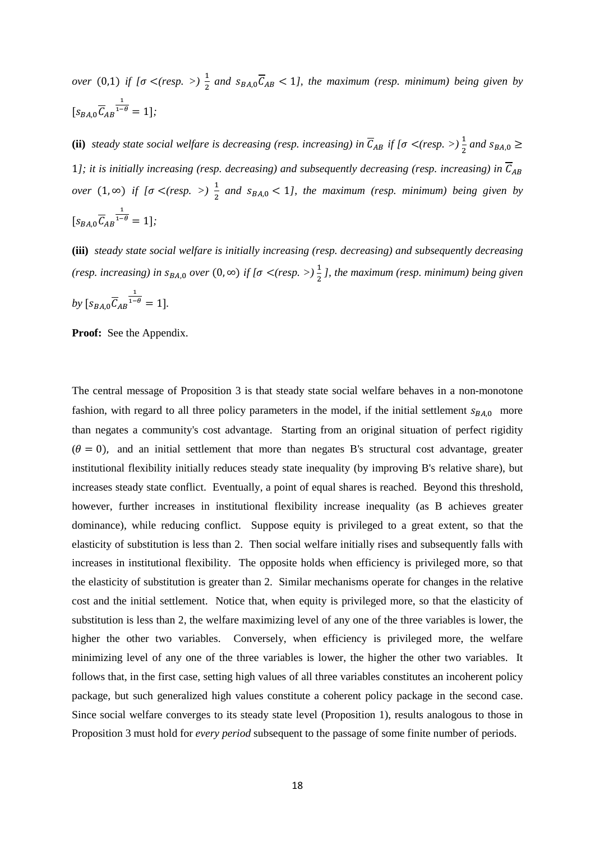*over* (0,1) *if*  $[\sigma \langle (resp. >) \frac{1}{2} \text{ and } s_{BA,0} \overline{C}_{AB} \langle 1 \rangle]$ , the maximum (resp. minimum) being given by  $\left[ S_{BA,0}C_{AB}\right]$  $\frac{1}{1-\theta} = 1$ **]**;

(ii) steady state social welfare is decreasing (resp. increasing) in  $\overline{C}_{AB}$  if [ $\sigma$  <(resp. >) $\frac{1}{2}$  and  $s_{BA,0}$   $\geq$ 1]; it is initially increasing (resp. decreasing) and subsequently decreasing (resp. increasing) in  $\overline{C}_{AB}$ *over*  $(1, \infty)$  *if*  $[\sigma \leq (resp. >) \frac{1}{2}$  *and*  $s_{BA,0} \leq 1$ *, the maximum (resp. minimum) being given by*  $\left[ S_{BA,0}C_{AB}\right]$  $\frac{1}{1-\theta} = 1$ **]**;

**(iii)** *steady state social welfare is initially increasing (resp. decreasing) and subsequently decreasing (resp. increasing) in*  $s_{BA,0}$  *over*  $(0, \infty)$  *if*  $[\sigma \leq (resp. >) \frac{1}{2}]$ , the maximum (resp. minimum) being given *by*  $[s_{BA,0}\overline{C}_{AB}^{\frac{1}{1-\theta}} = 1].$ 

**Proof:** See the Appendix.

The central message of Proposition 3 is that steady state social welfare behaves in a non-monotone fashion, with regard to all three policy parameters in the model, if the initial settlement  $s_{BA,0}$  more than negates a community's cost advantage. Starting from an original situation of perfect rigidity  $(\theta = 0)$ , and an initial settlement that more than negates B's structural cost advantage, greater institutional flexibility initially reduces steady state inequality (by improving B's relative share), but increases steady state conflict. Eventually, a point of equal shares is reached. Beyond this threshold, however, further increases in institutional flexibility increase inequality (as B achieves greater dominance), while reducing conflict. Suppose equity is privileged to a great extent, so that the elasticity of substitution is less than 2. Then social welfare initially rises and subsequently falls with increases in institutional flexibility. The opposite holds when efficiency is privileged more, so that the elasticity of substitution is greater than 2. Similar mechanisms operate for changes in the relative cost and the initial settlement. Notice that, when equity is privileged more, so that the elasticity of substitution is less than 2, the welfare maximizing level of any one of the three variables is lower, the higher the other two variables. Conversely, when efficiency is privileged more, the welfare minimizing level of any one of the three variables is lower, the higher the other two variables. It follows that, in the first case, setting high values of all three variables constitutes an incoherent policy package, but such generalized high values constitute a coherent policy package in the second case. Since social welfare converges to its steady state level (Proposition 1), results analogous to those in Proposition 3 must hold for *every period* subsequent to the passage of some finite number of periods.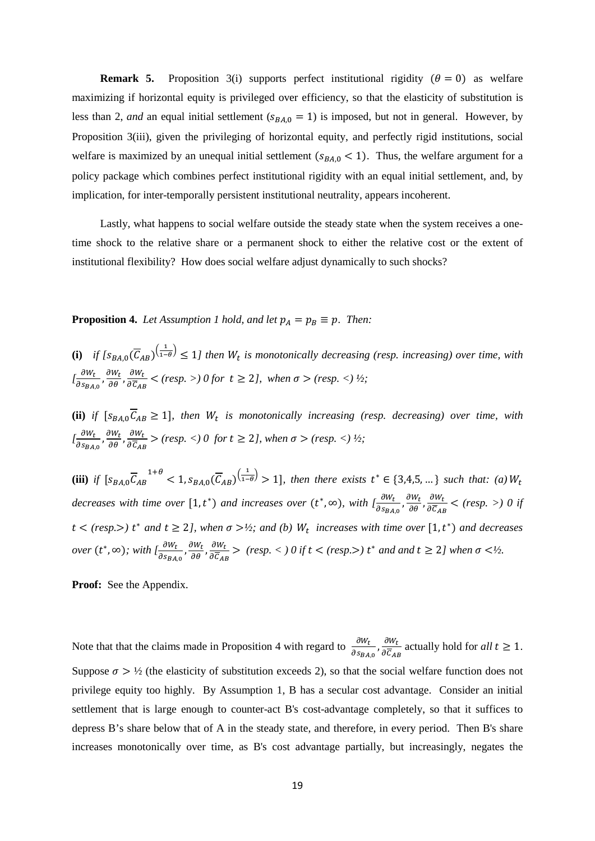**Remark 5.** Proposition 3(i) supports perfect institutional rigidity  $(\theta = 0)$  as welfare maximizing if horizontal equity is privileged over efficiency, so that the elasticity of substitution is less than 2, *and* an equal initial settlement ( $s_{BA,0} = 1$ ) is imposed, but not in general. However, by Proposition 3(iii), given the privileging of horizontal equity, and perfectly rigid institutions, social welfare is maximized by an unequal initial settlement ( $s_{BA,0}$  < 1). Thus, the welfare argument for a policy package which combines perfect institutional rigidity with an equal initial settlement, and, by implication, for inter-temporally persistent institutional neutrality, appears incoherent.

Lastly, what happens to social welfare outside the steady state when the system receives a onetime shock to the relative share or a permanent shock to either the relative cost or the extent of institutional flexibility? How does social welfare adjust dynamically to such shocks?

**Proposition 4.** *Let Assumption 1 hold, and let*  $p_A = p_B \equiv p$ . *Then:* 

(i) if  $[s_{BA,0}(\overline{C}_{AB})^{\frac{1}{1-\theta}}] \leq 1$  *then*  $W_t$  *is monotonically decreasing (resp. increasing) over time, with*  $\int \frac{\partial W_t}{\partial s_{BA,0}}, \frac{\partial W_t}{\partial \theta}, \frac{\partial W_t}{\partial \overline{C}_{AB}} \leq (resp. >) 0 for t \geq 2$ , when  $\sigma > (resp. <) \frac{1}{2};$ 

(ii) if  $[s_{BA,0}\overline{C}_{AB} \ge 1]$ , then  $W_t$  is monotonically increasing (resp. decreasing) over time, with  $\int_{\partial SB_{A,0}} \frac{\partial W_t}{\partial \theta}$ ,  $\frac{\partial W_t}{\partial \overline{C}_{AB}}$  > *(resp.* <*)* 0 for  $t \ge 2$ *]*, when  $\sigma$  > *(resp.* <*)* ½;

(iii) if  $[s_{BA,0}\overline{C}_{AB}^{1+\theta} < 1, s_{BA,0}(\overline{C}_{AB})^{(\frac{1}{1-\theta})} > 1]$ , then there exists  $t^* \in \{3,4,5,...\}$  such that: (a)  $W_t$ decreases with time over  $[1, t^*)$  and increases over  $(t^*, \infty)$ , with  $\left[\frac{\partial W_t}{\partial s_{BA,0}}, \frac{\partial W_t}{\partial \theta}, \frac{\partial W_t}{\partial \overline{C}_{AB}} \right] < (resp. >) 0$  if  $t < (resp.>)$   $t^*$  *and*  $t \ge 2$ *], when*  $\sigma > \frac{1}{2}$ ; *and (b)*  $W_t$  *increases with time over*  $[1, t^*)$  *and decreases*  $\frac{\partial w}{\partial s}$  ( $t^*, \infty$ ); with  $\int \frac{\partial w_t}{\partial s_{BA,0}}$ ,  $\frac{\partial w_t}{\partial \overline{c}_{AB}} >$  (resp. < ) 0 if  $t <$  (resp. >)  $t^*$  and and  $t \ge 2$ ] when  $\sigma < \frac{1}{2}$ .

**Proof:** See the Appendix.

Note that that the claims made in Proposition 4 with regard to  $\frac{\partial W_t}{\partial S_{BA,0}}, \frac{\partial W_t}{\partial \overline{C}_{AB}}$  actually hold for *all*  $t \ge 1$ . Suppose  $\sigma > \frac{1}{2}$  (the elasticity of substitution exceeds 2), so that the social welfare function does not privilege equity too highly. By Assumption 1, B has a secular cost advantage. Consider an initial settlement that is large enough to counter-act B's cost-advantage completely, so that it suffices to depress B's share below that of A in the steady state, and therefore, in every period. Then B's share increases monotonically over time, as B's cost advantage partially, but increasingly, negates the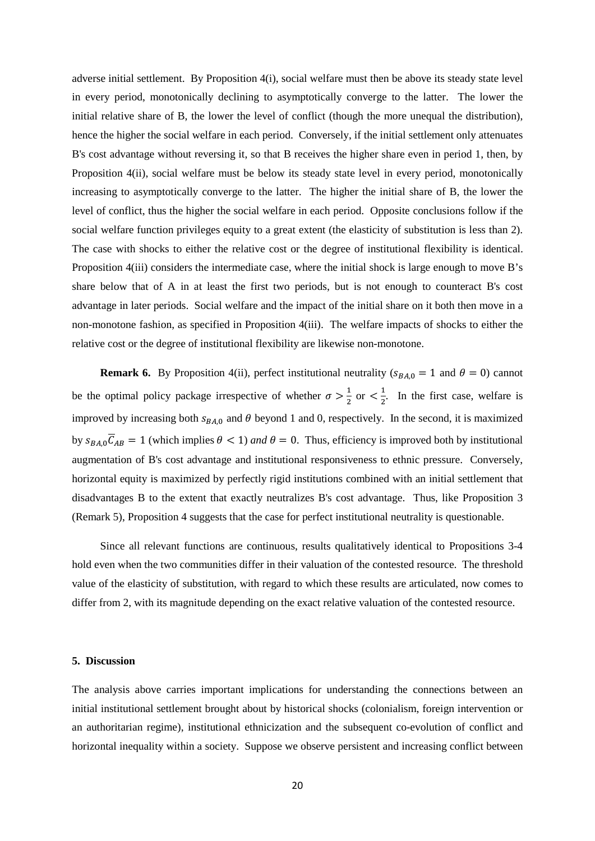adverse initial settlement. By Proposition 4(i), social welfare must then be above its steady state level in every period, monotonically declining to asymptotically converge to the latter. The lower the initial relative share of B, the lower the level of conflict (though the more unequal the distribution), hence the higher the social welfare in each period. Conversely, if the initial settlement only attenuates B's cost advantage without reversing it, so that B receives the higher share even in period 1, then, by Proposition 4(ii), social welfare must be below its steady state level in every period, monotonically increasing to asymptotically converge to the latter. The higher the initial share of B, the lower the level of conflict, thus the higher the social welfare in each period. Opposite conclusions follow if the social welfare function privileges equity to a great extent (the elasticity of substitution is less than 2). The case with shocks to either the relative cost or the degree of institutional flexibility is identical. Proposition 4(iii) considers the intermediate case, where the initial shock is large enough to move B's share below that of A in at least the first two periods, but is not enough to counteract B's cost advantage in later periods. Social welfare and the impact of the initial share on it both then move in a non-monotone fashion, as specified in Proposition 4(iii). The welfare impacts of shocks to either the relative cost or the degree of institutional flexibility are likewise non-monotone.

**Remark 6.** By Proposition 4(ii), perfect institutional neutrality ( $s_{BA,0} = 1$  and  $\theta = 0$ ) cannot be the optimal policy package irrespective of whether  $\sigma > \frac{1}{2}$  or  $\langle \frac{1}{2} \rangle$ . In the first case, welfare is improved by increasing both  $s_{BA,0}$  and  $\theta$  beyond 1 and 0, respectively. In the second, it is maximized by  $s_{BA,0}\overline{C}_{AB} = 1$  (which implies  $\theta < 1$ ) *and*  $\theta = 0$ . Thus, efficiency is improved both by institutional augmentation of B's cost advantage and institutional responsiveness to ethnic pressure. Conversely, horizontal equity is maximized by perfectly rigid institutions combined with an initial settlement that disadvantages B to the extent that exactly neutralizes B's cost advantage. Thus, like Proposition 3 (Remark 5), Proposition 4 suggests that the case for perfect institutional neutrality is questionable.

Since all relevant functions are continuous, results qualitatively identical to Propositions 3-4 hold even when the two communities differ in their valuation of the contested resource. The threshold value of the elasticity of substitution, with regard to which these results are articulated, now comes to differ from 2, with its magnitude depending on the exact relative valuation of the contested resource.

#### **5. Discussion**

The analysis above carries important implications for understanding the connections between an initial institutional settlement brought about by historical shocks (colonialism, foreign intervention or an authoritarian regime), institutional ethnicization and the subsequent co-evolution of conflict and horizontal inequality within a society. Suppose we observe persistent and increasing conflict between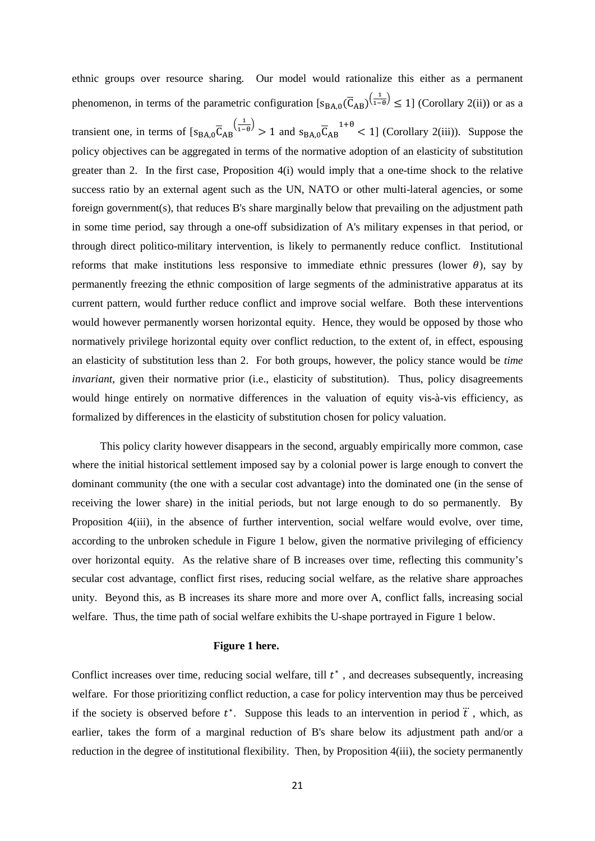ethnic groups over resource sharing. Our model would rationalize this either as a permanent phenomenon, in terms of the parametric configuration  $[s_{BA,0}(\overline{C}_{AB})^{\frac{1}{(1-\theta)}} \leq 1]$  (Corollary 2(ii)) or as a transient one, in terms of  $[s_{BA,0}\overline{C}_{AB}^{(\frac{1}{1-\theta})} > 1$  and  $s_{BA,0}\overline{C}_{AB}^{1+\theta} < 1$  (Corollary 2(iii)). Suppose the policy objectives can be aggregated in terms of the normative adoption of an elasticity of substitution greater than 2. In the first case, Proposition 4(i) would imply that a one-time shock to the relative success ratio by an external agent such as the UN, NATO or other multi-lateral agencies, or some foreign government(s), that reduces B's share marginally below that prevailing on the adjustment path in some time period, say through a one-off subsidization of A's military expenses in that period, or through direct politico-military intervention, is likely to permanently reduce conflict. Institutional reforms that make institutions less responsive to immediate ethnic pressures (lower  $\theta$ ), say by permanently freezing the ethnic composition of large segments of the administrative apparatus at its current pattern, would further reduce conflict and improve social welfare. Both these interventions would however permanently worsen horizontal equity. Hence, they would be opposed by those who normatively privilege horizontal equity over conflict reduction, to the extent of, in effect, espousing an elasticity of substitution less than 2. For both groups, however, the policy stance would be *time invariant*, given their normative prior (i.e., elasticity of substitution). Thus, policy disagreements would hinge entirely on normative differences in the valuation of equity vis-à-vis efficiency, as formalized by differences in the elasticity of substitution chosen for policy valuation.

This policy clarity however disappears in the second, arguably empirically more common, case where the initial historical settlement imposed say by a colonial power is large enough to convert the dominant community (the one with a secular cost advantage) into the dominated one (in the sense of receiving the lower share) in the initial periods, but not large enough to do so permanently. By Proposition 4(iii), in the absence of further intervention, social welfare would evolve, over time, according to the unbroken schedule in Figure 1 below, given the normative privileging of efficiency over horizontal equity. As the relative share of B increases over time, reflecting this community's secular cost advantage, conflict first rises, reducing social welfare, as the relative share approaches unity. Beyond this, as B increases its share more and more over A, conflict falls, increasing social welfare. Thus, the time path of social welfare exhibits the U-shape portrayed in Figure 1 below.

#### **Figure 1 here.**

Conflict increases over time, reducing social welfare, till  $t^*$ , and decreases subsequently, increasing welfare. For those prioritizing conflict reduction, a case for policy intervention may thus be perceived if the society is observed before  $t^*$ . Suppose this leads to an intervention in period  $\ddot{t}$ , which, as earlier, takes the form of a marginal reduction of B's share below its adjustment path and/or a reduction in the degree of institutional flexibility. Then, by Proposition 4(iii), the society permanently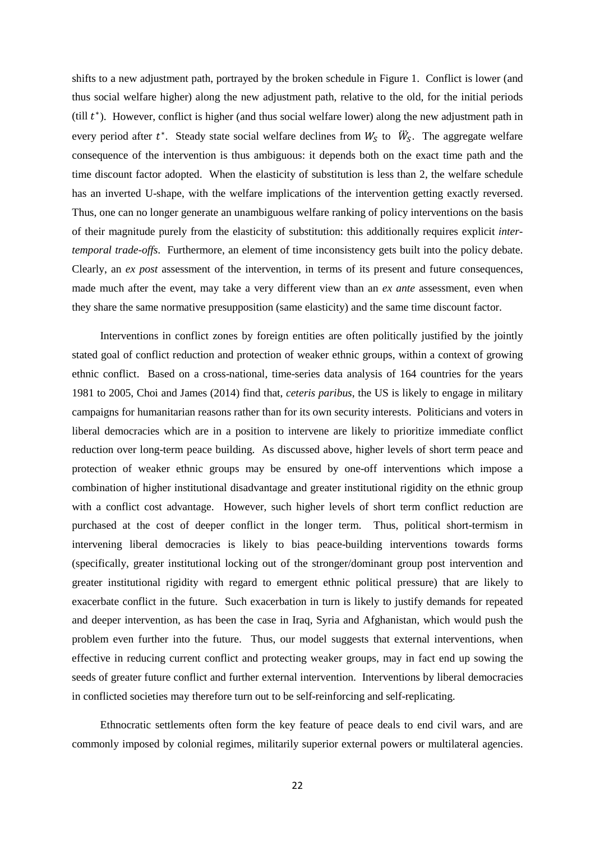shifts to a new adjustment path, portrayed by the broken schedule in Figure 1. Conflict is lower (and thus social welfare higher) along the new adjustment path, relative to the old, for the initial periods (till  $t^*$ ). However, conflict is higher (and thus social welfare lower) along the new adjustment path in every period after  $t^*$ . Steady state social welfare declines from  $W_s$  to  $\dddot{W}_s$ . The aggregate welfare consequence of the intervention is thus ambiguous: it depends both on the exact time path and the time discount factor adopted. When the elasticity of substitution is less than 2, the welfare schedule has an inverted U-shape, with the welfare implications of the intervention getting exactly reversed. Thus, one can no longer generate an unambiguous welfare ranking of policy interventions on the basis of their magnitude purely from the elasticity of substitution: this additionally requires explicit *intertemporal trade-offs*. Furthermore, an element of time inconsistency gets built into the policy debate. Clearly, an *ex post* assessment of the intervention, in terms of its present and future consequences, made much after the event, may take a very different view than an *ex ante* assessment, even when they share the same normative presupposition (same elasticity) and the same time discount factor.

Interventions in conflict zones by foreign entities are often politically justified by the jointly stated goal of conflict reduction and protection of weaker ethnic groups, within a context of growing ethnic conflict. Based on a cross-national, time-series data analysis of 164 countries for the years 1981 to 2005, Choi and James (2014) find that, *ceteris paribus*, the US is likely to engage in military campaigns for humanitarian reasons rather than for its own security interests. Politicians and voters in liberal democracies which are in a position to intervene are likely to prioritize immediate conflict reduction over long-term peace building. As discussed above, higher levels of short term peace and protection of weaker ethnic groups may be ensured by one-off interventions which impose a combination of higher institutional disadvantage and greater institutional rigidity on the ethnic group with a conflict cost advantage. However, such higher levels of short term conflict reduction are purchased at the cost of deeper conflict in the longer term. Thus, political short-termism in intervening liberal democracies is likely to bias peace-building interventions towards forms (specifically, greater institutional locking out of the stronger/dominant group post intervention and greater institutional rigidity with regard to emergent ethnic political pressure) that are likely to exacerbate conflict in the future. Such exacerbation in turn is likely to justify demands for repeated and deeper intervention, as has been the case in Iraq, Syria and Afghanistan, which would push the problem even further into the future. Thus, our model suggests that external interventions, when effective in reducing current conflict and protecting weaker groups, may in fact end up sowing the seeds of greater future conflict and further external intervention. Interventions by liberal democracies in conflicted societies may therefore turn out to be self-reinforcing and self-replicating.

Ethnocratic settlements often form the key feature of peace deals to end civil wars, and are commonly imposed by colonial regimes, militarily superior external powers or multilateral agencies.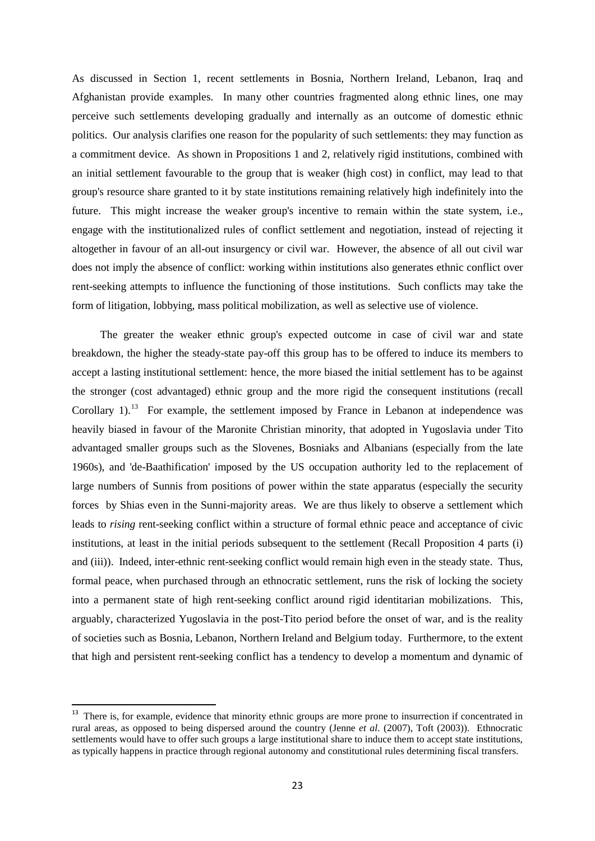As discussed in Section 1, recent settlements in Bosnia, Northern Ireland, Lebanon, Iraq and Afghanistan provide examples. In many other countries fragmented along ethnic lines, one may perceive such settlements developing gradually and internally as an outcome of domestic ethnic politics. Our analysis clarifies one reason for the popularity of such settlements: they may function as a commitment device. As shown in Propositions 1 and 2, relatively rigid institutions, combined with an initial settlement favourable to the group that is weaker (high cost) in conflict, may lead to that group's resource share granted to it by state institutions remaining relatively high indefinitely into the future. This might increase the weaker group's incentive to remain within the state system, i.e., engage with the institutionalized rules of conflict settlement and negotiation, instead of rejecting it altogether in favour of an all-out insurgency or civil war. However, the absence of all out civil war does not imply the absence of conflict: working within institutions also generates ethnic conflict over rent-seeking attempts to influence the functioning of those institutions. Such conflicts may take the form of litigation, lobbying, mass political mobilization, as well as selective use of violence.

The greater the weaker ethnic group's expected outcome in case of civil war and state breakdown, the higher the steady-state pay-off this group has to be offered to induce its members to accept a lasting institutional settlement: hence, the more biased the initial settlement has to be against the stronger (cost advantaged) ethnic group and the more rigid the consequent institutions (recall Corollary 1).<sup>[13](#page-13-0)</sup> For example, the settlement imposed by France in Lebanon at independence was heavily biased in favour of the Maronite Christian minority, that adopted in Yugoslavia under Tito advantaged smaller groups such as the Slovenes, Bosniaks and Albanians (especially from the late 1960s), and 'de-Baathification' imposed by the US occupation authority led to the replacement of large numbers of Sunnis from positions of power within the state apparatus (especially the security forces by Shias even in the Sunni-majority areas. We are thus likely to observe a settlement which leads to *rising* rent-seeking conflict within a structure of formal ethnic peace and acceptance of civic institutions, at least in the initial periods subsequent to the settlement (Recall Proposition 4 parts (i) and (iii)). Indeed, inter-ethnic rent-seeking conflict would remain high even in the steady state. Thus, formal peace, when purchased through an ethnocratic settlement, runs the risk of locking the society into a permanent state of high rent-seeking conflict around rigid identitarian mobilizations. This, arguably, characterized Yugoslavia in the post-Tito period before the onset of war, and is the reality of societies such as Bosnia, Lebanon, Northern Ireland and Belgium today. Furthermore, to the extent that high and persistent rent-seeking conflict has a tendency to develop a momentum and dynamic of

<span id="page-24-0"></span><sup>&</sup>lt;sup>13</sup> There is, for example, evidence that minority ethnic groups are more prone to insurrection if concentrated in rural areas, as opposed to being dispersed around the country (Jenne *et al*. (2007), Toft (2003)). Ethnocratic settlements would have to offer such groups a large institutional share to induce them to accept state institutions, as typically happens in practice through regional autonomy and constitutional rules determining fiscal transfers.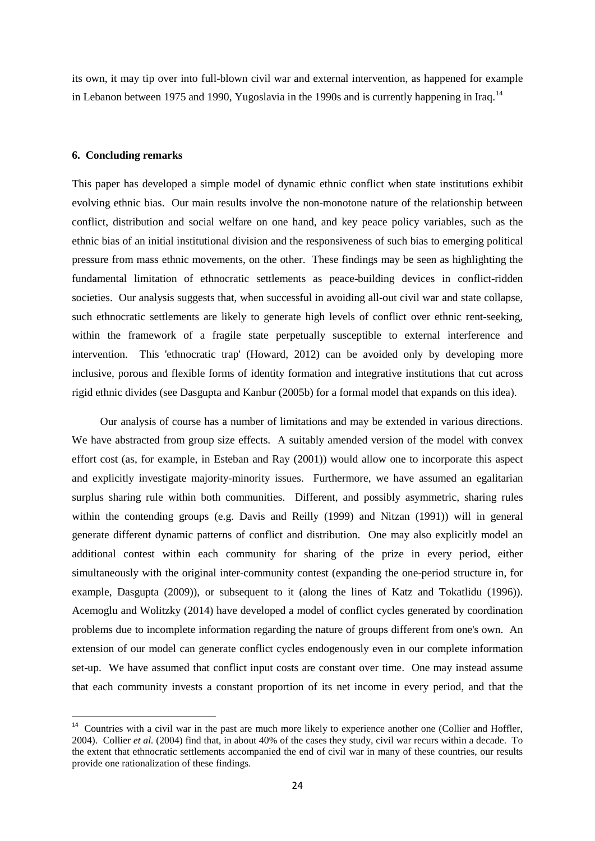its own, it may tip over into full-blown civil war and external intervention, as happened for example in Lebanon between 1975 and 1990, Yugoslavia in the 1990s and is currently happening in Iraq.<sup>[14](#page-24-0)</sup>

#### **6. Concluding remarks**

This paper has developed a simple model of dynamic ethnic conflict when state institutions exhibit evolving ethnic bias. Our main results involve the non-monotone nature of the relationship between conflict, distribution and social welfare on one hand, and key peace policy variables, such as the ethnic bias of an initial institutional division and the responsiveness of such bias to emerging political pressure from mass ethnic movements, on the other. These findings may be seen as highlighting the fundamental limitation of ethnocratic settlements as peace-building devices in conflict-ridden societies. Our analysis suggests that, when successful in avoiding all-out civil war and state collapse, such ethnocratic settlements are likely to generate high levels of conflict over ethnic rent-seeking, within the framework of a fragile state perpetually susceptible to external interference and intervention. This 'ethnocratic trap' (Howard, 2012) can be avoided only by developing more inclusive, porous and flexible forms of identity formation and integrative institutions that cut across rigid ethnic divides (see Dasgupta and Kanbur (2005b) for a formal model that expands on this idea).

Our analysis of course has a number of limitations and may be extended in various directions. We have abstracted from group size effects. A suitably amended version of the model with convex effort cost (as, for example, in Esteban and Ray (2001)) would allow one to incorporate this aspect and explicitly investigate majority-minority issues. Furthermore, we have assumed an egalitarian surplus sharing rule within both communities. Different, and possibly asymmetric, sharing rules within the contending groups (e.g. Davis and Reilly (1999) and Nitzan (1991)) will in general generate different dynamic patterns of conflict and distribution. One may also explicitly model an additional contest within each community for sharing of the prize in every period, either simultaneously with the original inter-community contest (expanding the one-period structure in, for example, Dasgupta (2009)), or subsequent to it (along the lines of Katz and Tokatlidu (1996)). Acemoglu and Wolitzky (2014) have developed a model of conflict cycles generated by coordination problems due to incomplete information regarding the nature of groups different from one's own. An extension of our model can generate conflict cycles endogenously even in our complete information set-up. We have assumed that conflict input costs are constant over time. One may instead assume that each community invests a constant proportion of its net income in every period, and that the

<sup>&</sup>lt;sup>14</sup> Countries with a civil war in the past are much more likely to experience another one (Collier and Hoffler, 2004). Collier *et al.* (2004) find that, in about 40% of the cases they study, civil war recurs within a decade. To the extent that ethnocratic settlements accompanied the end of civil war in many of these countries, our results provide one rationalization of these findings.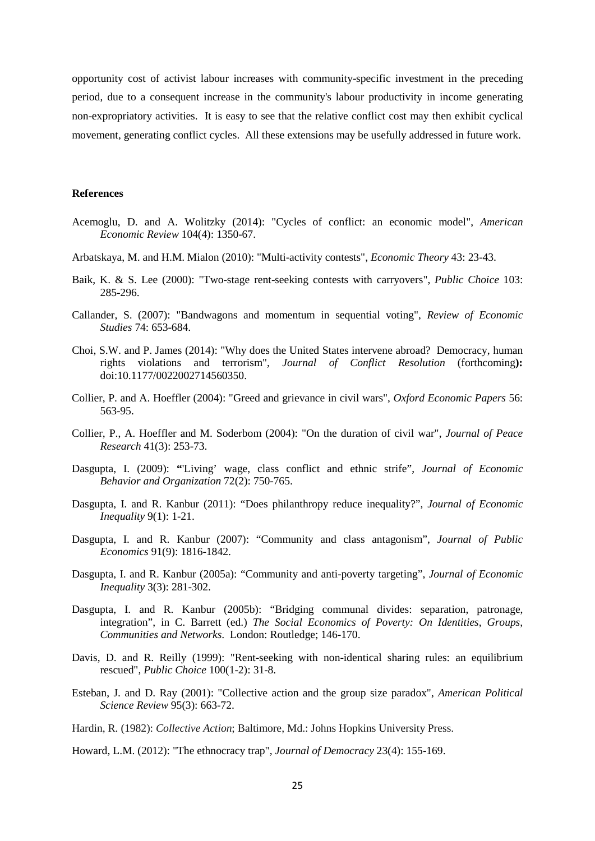opportunity cost of activist labour increases with community-specific investment in the preceding period, due to a consequent increase in the community's labour productivity in income generating non-expropriatory activities. It is easy to see that the relative conflict cost may then exhibit cyclical movement, generating conflict cycles. All these extensions may be usefully addressed in future work.

#### **References**

- Acemoglu, D. and A. Wolitzky (2014): "Cycles of conflict: an economic model", *American Economic Review* 104(4): 1350-67.
- Arbatskaya, M. and H.M. Mialon (2010): "Multi-activity contests", *Economic Theory* 43: 23-43.
- Baik, K. & S. Lee (2000): "Two-stage rent-seeking contests with carryovers", *Public Choice* 103: 285-296.
- Callander, S. (2007): "Bandwagons and momentum in sequential voting", *Review of Economic Studies* 74: 653-684.
- Choi, S.W. and P. James (2014): "Why does the United States intervene abroad? Democracy, human rights violations and terrorism", *Journal of Conflict Resolution* (forthcoming**):**  doi:10.1177/0022002714560350.
- Collier, P. and A. Hoeffler (2004): "Greed and grievance in civil wars", *Oxford Economic Papers* 56: 563-95.
- Collier, P., A. Hoeffler and M. Soderbom (2004): "On the duration of civil war", *Journal of Peace Research* 41(3): 253-73.
- Dasgupta, I. (2009): **"**'Living' wage, class conflict and ethnic strife", *Journal of Economic Behavior and Organization* 72(2): 750-765.
- Dasgupta, I. and R. Kanbur (2011): "Does philanthropy reduce inequality?", *Journal of Economic Inequality* 9(1): 1-21.
- Dasgupta, I. and R. Kanbur (2007): "Community and class antagonism", *Journal of Public Economics* 91(9): 1816-1842.
- Dasgupta, I. and R. Kanbur (2005a): "Community and anti-poverty targeting", *Journal of Economic Inequality* 3(3): 281-302.
- Dasgupta, I. and R. Kanbur (2005b): "Bridging communal divides: separation, patronage, integration", in C. Barrett (ed.) *The Social Economics of Poverty: On Identities, Groups, Communities and Networks*. London: Routledge; 146-170.
- Davis, D. and R. Reilly (1999): "Rent-seeking with non-identical sharing rules: an equilibrium rescued", *Public Choice* 100(1-2): 31-8.
- Esteban, J. and D. Ray (2001): "Collective action and the group size paradox", *American Political Science Review* 95(3): 663-72.
- Hardin, R. (1982): *Collective Action*; Baltimore, Md.: Johns Hopkins University Press.
- Howard, L.M. (2012): "The ethnocracy trap", *[Journal of Democracy](http://muse.jhu.edu/journals/journal_of_democracy)* 23(4): 155-169.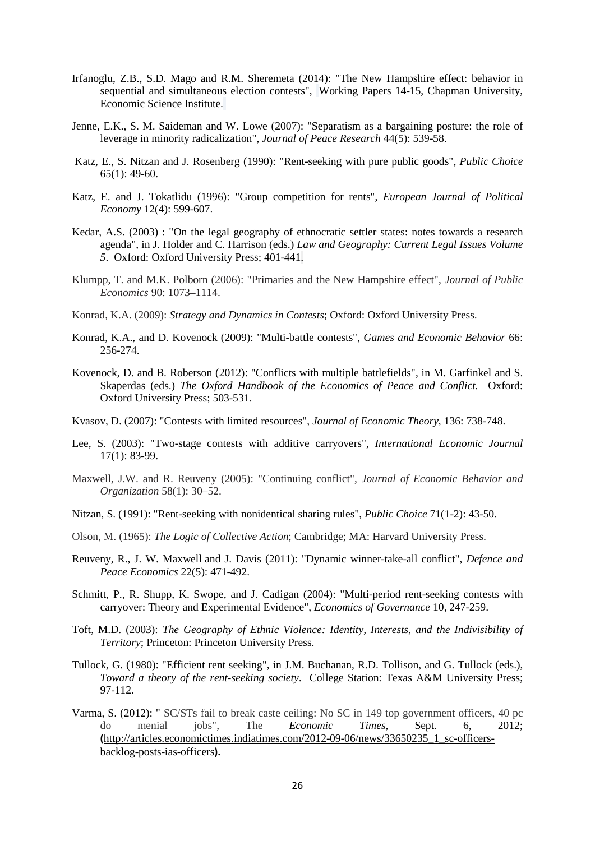- Irfanoglu, Z.B., S.D. Mago and R.M. Sheremeta (2014): "The New Hampshire effect: behavior in sequential and simultaneous election contests", [Working Papers](https://ideas.repec.org/s/chu/wpaper.html) 14-15, Chapman University, Economic Science Institute.
- Jenne, E.K., S. M. Saideman and W. Lowe (2007): "Separatism as a bargaining posture: the role of leverage in minority radicalization", *Journal of Peace Research* 44(5): 539-58.
- Katz, E., S. Nitzan and J. Rosenberg (1990): "Rent-seeking with pure public goods", *Public Choice* 65(1): 49-60.
- Katz, E. and J. Tokatlidu (1996): "Group competition for rents", *European Journal of Political Economy* 12(4): 599-607.
- Kedar, A.S. (2003) : "On the legal geography of ethnocratic settler states: notes towards a research agenda", in J. Holder and C. Harrison (eds.) *Law and Geography: Current Legal Issues Volume 5*. Oxford: Oxford University Press; 401-441.
- Klumpp, T. and M.K. Polborn (2006): "Primaries and the New Hampshire effect", *Journal of Public Economics* 90: 1073–1114.
- Konrad, K.A. (2009): *Strategy and Dynamics in Contests*; Oxford: Oxford University Press.
- Konrad, K.A., and D. Kovenock (2009): "Multi-battle contests", *Games and Economic Behavior* 66: 256-274.
- Kovenock, D. and B. Roberson (2012): "Conflicts with multiple battlefields", in M. Garfinkel and S. Skaperdas (eds.) *The Oxford Handbook of the Economics of Peace and Conflict.* Oxford: Oxford University Press; 503-531.
- Kvasov, D. (2007): "Contests with limited resources", *Journal of Economic Theory*, 136: 738-748.
- Lee, S. (2003): "Two-stage contests with additive carryovers", *International Economic Journal* 17(1): 83-99.
- Maxwell, J.W. and R. Reuveny (2005): "Continuing conflict", *Journal of Economic Behavior and Organization* 58(1): 30–52.
- Nitzan, S. (1991): "Rent-seeking with nonidentical sharing rules", *Public Choice* 71(1-2): 43-50.
- Olson, M. (1965): *The Logic of Collective Action*; Cambridge; MA: Harvard University Press.
- Reuveny, R., J. W. Maxwell and J. Davis (2011): "Dynamic winner-take-all conflict", *Defence and Peace Economics* 22(5): 471-492.
- Schmitt, P., R. Shupp, K. Swope, and J. Cadigan (2004): "Multi-period rent-seeking contests with carryover: Theory and Experimental Evidence", *Economics of Governance* 10, 247-259.
- Toft, M.D. (2003): *The Geography of Ethnic Violence: Identity, Interests, and the Indivisibility of Territory*; Princeton: Princeton University Press.
- Tullock, G. (1980): "Efficient rent seeking", in J.M. Buchanan, R.D. Tollison, and G. Tullock (eds.), *Toward a theory of the rent-seeking society*. College Station: Texas A&M University Press; 97-112.
- Varma, S. (2012): " SC/STs fail to break caste ceiling: No SC in 149 top government officers, 40 pc do menial jobs", The *Economic Times*, Sept. 6, 2012; **(**http://articles.economictimes.indiatimes.com/2012-09-06/news/33650235\_1\_sc-officersbacklog-posts-ias-officers**).**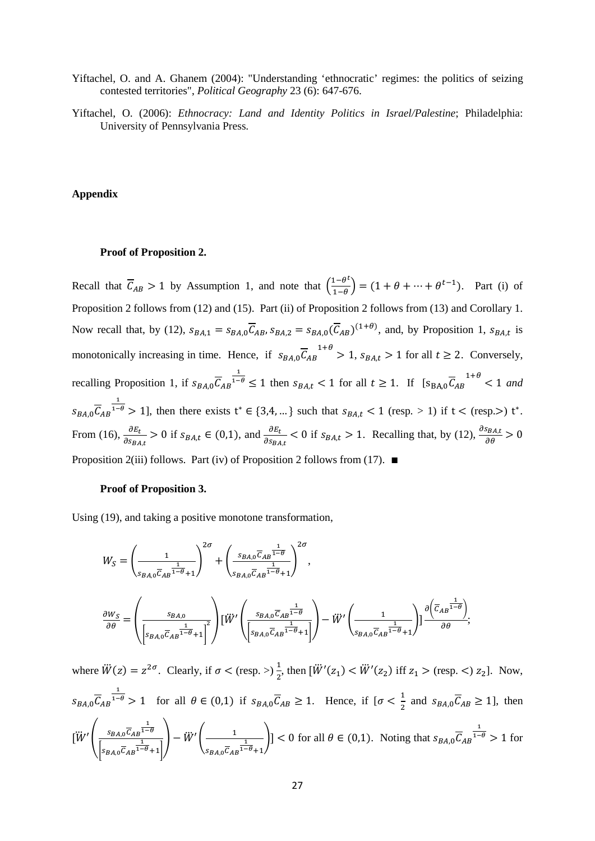- [Yiftachel,](http://www.sciencedirect.com/science/article/pii/S0962629804000423) O. and A. Ghanem (2004): "Understanding 'ethnocratic' regimes: the politics of seizing contested territories", *Political [Geography](http://www.sciencedirect.com/science/journal/09626298)* 23 (6): 647-676.
- [Yiftachel,](http://www.sciencedirect.com/science/article/pii/S0962629804000423) O. (2006): *Ethnocracy: Land and Identity Politics in Israel/Palestine*; Philadelphia: University of Pennsylvania Press.

#### **Appendix**

#### **Proof of Proposition 2.**

Recall that  $\overline{C}_{AB} > 1$  by Assumption 1, and note that  $\left(\frac{1-\theta^t}{1-\theta}\right) = (1+\theta+\cdots+\theta^{t-1})$ . Part (i) of Proposition 2 follows from (12) and (15). Part (ii) of Proposition 2 follows from (13) and Corollary 1. Now recall that, by (12),  $s_{BA,1} = s_{BA,0} C_{AB}$ ,  $s_{BA,2} = s_{BA,0} (C_{AB})^{(1+\theta)}$ , and, by Proposition 1,  $s_{BA,t}$  is monotonically increasing in time. Hence, if  $s_{BA,0}\overline{C}_{AB}^{1+\theta} > 1$ ,  $s_{BA,t} > 1$  for all  $t \ge 2$ . Conversely, recalling Proposition 1, if  $s_{BA,0}\overline{C}_{AB}^{\frac{1}{1-\theta}} \leq 1$  then  $s_{BA,t} < 1$  for all  $t \geq 1$ . If  $[s_{BA,0}\overline{C}_{AB}^{1+\theta} < 1$  and  $S_{BA,0}C_{AB}$  $\frac{1}{1-\theta} > 1$ , then there exists  $t^* \in \{3,4,...\}$  such that  $s_{BA,t} < 1$  (resp. > 1) if  $t <$  (resp. >)  $t^*$ . From (16),  $\frac{\partial E_t}{\partial s_{BA,t}} > 0$  if  $s_{BA,t} \in (0,1)$ , and  $\frac{\partial E_t}{\partial s_{BA,t}} < 0$  if  $s_{BA,t} > 1$ . Recalling that, by (12),  $\frac{\partial s_{BA,t}}{\partial \theta} > 0$ Proposition 2(iii) follows. Part (iv) of Proposition 2 follows from (17). ■

#### **Proof of Proposition 3.**

Using (19), and taking a positive monotone transformation,

$$
W_{S} = \left(\frac{1}{s_{BA,0}\overline{c}_{AB}^{\frac{1}{1-\theta}}+1}\right)^{2\sigma} + \left(\frac{s_{BA,0}\overline{c}_{AB}^{\frac{1}{1-\theta}}}{s_{BA,0}\overline{c}_{AB}^{\frac{1}{1-\theta}}+1}\right)^{2\sigma},
$$
  

$$
\frac{\partial W_{S}}{\partial \theta} = \left(\frac{s_{BA,0}}{\left[s_{BA,0}\overline{c}_{AB}^{\frac{1}{1-\theta}}+1\right]^{2}}\right) \left[\ddot{W}'\left(\frac{s_{BA,0}\overline{c}_{AB}^{\frac{1}{1-\theta}}}{\left[s_{BA,0}\overline{c}_{AB}^{\frac{1}{1-\theta}}+1\right]}\right) - \ddot{W}'\left(\frac{1}{s_{BA,0}\overline{c}_{AB}^{\frac{1}{1-\theta}}+1}\right)\right] \frac{\partial \left(\overline{c}_{AB}^{\frac{1}{1-\theta}}\right)}{\partial \theta};
$$

where  $\ddot{W}(z) = z^{2\sigma}$ . Clearly, if  $\sigma < (resp. >) \frac{1}{2}$ , then  $[\dot{W}'(z_1) < \dot{W}'(z_2)$  iff  $z_1 > (resp. <) z_2]$ . Now,  $S_{BA,0}C_{AB}$  $\frac{1}{1-\theta} > 1$  for all  $\theta \in (0,1)$  if  $s_{BA,0} \overline{C}_{AB} \ge 1$ . Hence, if  $[\sigma < \frac{1}{2}$  and  $s_{BA,0} \overline{C}_{AB} \ge 1]$ , then  $\left[\dddot{W}'\right] \frac{s_{BA,0}C_{AB}}{\sqrt{2\pi}}$  $\frac{1}{1-\theta}$  $S_{BA,0}C_{AB}$  $\frac{1}{1-\theta+1}$  $-\ddot{W}'$   $\frac{1}{\sqrt{2\pi}}$  $S_{BA,0}C_{AB}$  $\frac{1}{1-\theta}$ +1  $\int$ ] < 0 for all  $\theta \in (0,1)$ . Noting that  $s_{BA,0}\overline{C}_{AB}^{\frac{1}{1-\theta}} > 1$  for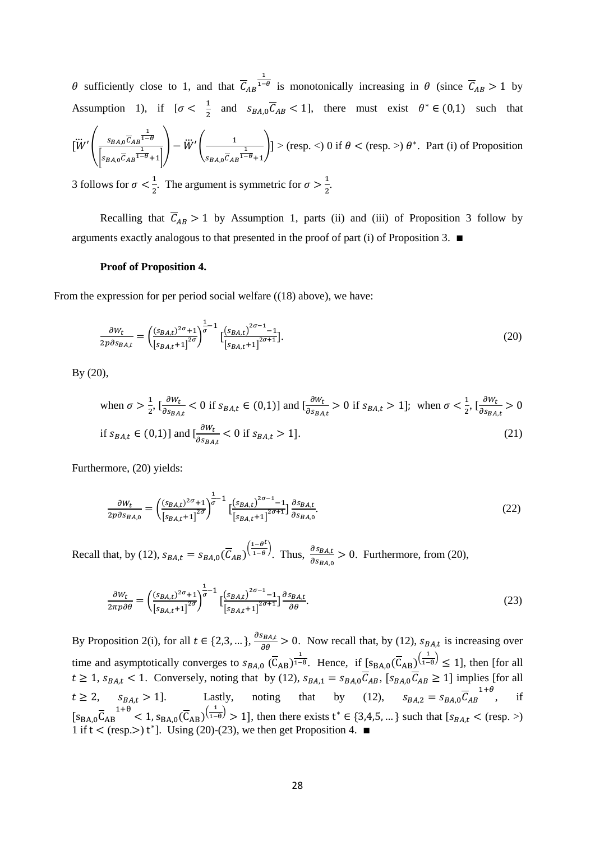$\theta$  sufficiently close to 1, and that  $\overline{C}_{AB}^{\frac{1}{1-\theta}}$  is monotonically increasing in  $\theta$  (since  $\overline{C}_{AB} > 1$  by Assumption 1), if  $[\sigma < \frac{1}{2}$  and  $s_{BA,0}\overline{C}_{AB} < 1]$ , there must exist  $\theta^* \in (0,1)$  such that

$$
\left[\dddot{W}'\left(\frac{s_{BA,0}\overline{c}_{AB}\frac{1}{1-\theta}}{\left[s_{BA,0}\overline{c}_{AB}\frac{1}{1-\theta+1}\right]}\right) - \ddot{W}'\left(\frac{1}{s_{BA,0}\overline{c}_{AB}\frac{1}{1-\theta+1}}\right)\right] > (\text{resp.} <) 0 \text{ if } \theta < (\text{resp.} >) \theta^*. \text{ Part (i) of Proposition } \mathbb{R}^3
$$

3 follows for  $\sigma < \frac{1}{2}$ . The argument is symmetric for  $\sigma > \frac{1}{2}$ .

Recalling that  $\overline{C}_{AB} > 1$  by Assumption 1, parts (ii) and (iii) of Proposition 3 follow by arguments exactly analogous to that presented in the proof of part (i) of Proposition 3. ∎

#### **Proof of Proposition 4.**

From the expression for per period social welfare ((18) above), we have:

$$
\frac{\partial W_t}{2p\partial s_{BA,t}} = \left(\frac{(s_{BA,t})^{2\sigma}+1}{[s_{BA,t}+1]^{2\sigma}}\right)^{\frac{1}{\sigma}-1} \left[\frac{(s_{BA,t})^{2\sigma-1}-1}{[s_{BA,t}+1]^{2\sigma+1}}\right].
$$
\n(20)

By (20),

when 
$$
\sigma > \frac{1}{2}
$$
,  $\left[\frac{\partial W_t}{\partial s_{BA,t}} < 0 \text{ if } s_{BA,t} \in (0,1)\right]$  and  $\left[\frac{\partial W_t}{\partial s_{BA,t}} > 0 \text{ if } s_{BA,t} > 1\right]$ ; when  $\sigma < \frac{1}{2}$ ,  $\left[\frac{\partial W_t}{\partial s_{BA,t}} > 0\right]$   
if  $s_{BA,t} \in (0,1)$ ] and  $\left[\frac{\partial W_t}{\partial s_{BA,t}} < 0 \text{ if } s_{BA,t} > 1\right]$ . (21)

Furthermore, (20) yields:

$$
\frac{\partial W_t}{2p\partial s_{BA,0}} = \left(\frac{(s_{BA,t})^{2\sigma}+1}{[s_{BA,t}+1]^{2\sigma}}\right)^{\frac{1}{\sigma}-1} \left[\frac{(s_{BA,t})^{2\sigma-1}-1}{[s_{BA,t}+1]^{2\sigma+1}}\right]^{\frac{\partial s_{BA,t}}{\partial s_{BA,0}}}. \tag{22}
$$

Recall that, by (12),  $s_{BA,t} = s_{BA,0}(\overline{C}_{AB})^{\left(\frac{1-\theta^t}{1-\theta}\right)}$ . Thus,  $\frac{\partial s_{BA,t}}{\partial s_{BA,0}} > 0$ . Furthermore, from (20),

$$
\frac{\partial W_t}{2\pi p \partial \theta} = \left( \frac{(s_{BA,t})^{2\sigma} + 1}{[s_{BA,t} + 1]^{2\sigma}} \right)^{\frac{1}{\sigma} - 1} \left[ \frac{(s_{BA,t})^{2\sigma - 1} - 1}{[s_{BA,t} + 1]^{2\sigma + 1}} \right]^{\frac{\partial s_{BA,t}}{\partial \theta}}.
$$
\n(23)

By Proposition 2(i), for all  $t \in \{2,3,...\}$ ,  $\frac{\partial s_{BA,t}}{\partial \theta} > 0$ . Now recall that, by (12),  $s_{BA,t}$  is increasing over time and asymptotically converges to  $s_{BA,0}(\overline{C}_{AB})^{\frac{1}{1-\theta}}$ . Hence, if  $[s_{BA,0}(\overline{C}_{AB})^{\frac{1}{1-\theta}}] \le 1$ , then [for all  $t \ge 1$ ,  $s_{BA,t} < 1$ . Conversely, noting that by (12),  $s_{BA,1} = s_{BA,0} \overline{C}_{AB}$ ,  $[s_{BA,0} \overline{C}_{AB} \ge 1]$  implies [for all  $t \ge 2$ ,  $s_{BA,t} > 1$ . Lastly, noting that by (12),  $s_{BA,2} = s_{BA,0} \overline{C}_{AB}^{1+\theta}$ , if  $[s_{BA,0}\overline{C}_{AB}^{1+\theta} < 1, s_{BA,0}(\overline{C}_{AB})^{(\frac{1}{1-\theta})} > 1]$ , then there exists  $t^* \in \{3,4,5,...\}$  such that  $[s_{BA,t} < (resp. >)$ 1 if  $t <$  (resp.>)  $t^*$ ]. Using (20)-(23), we then get Proposition 4. ■